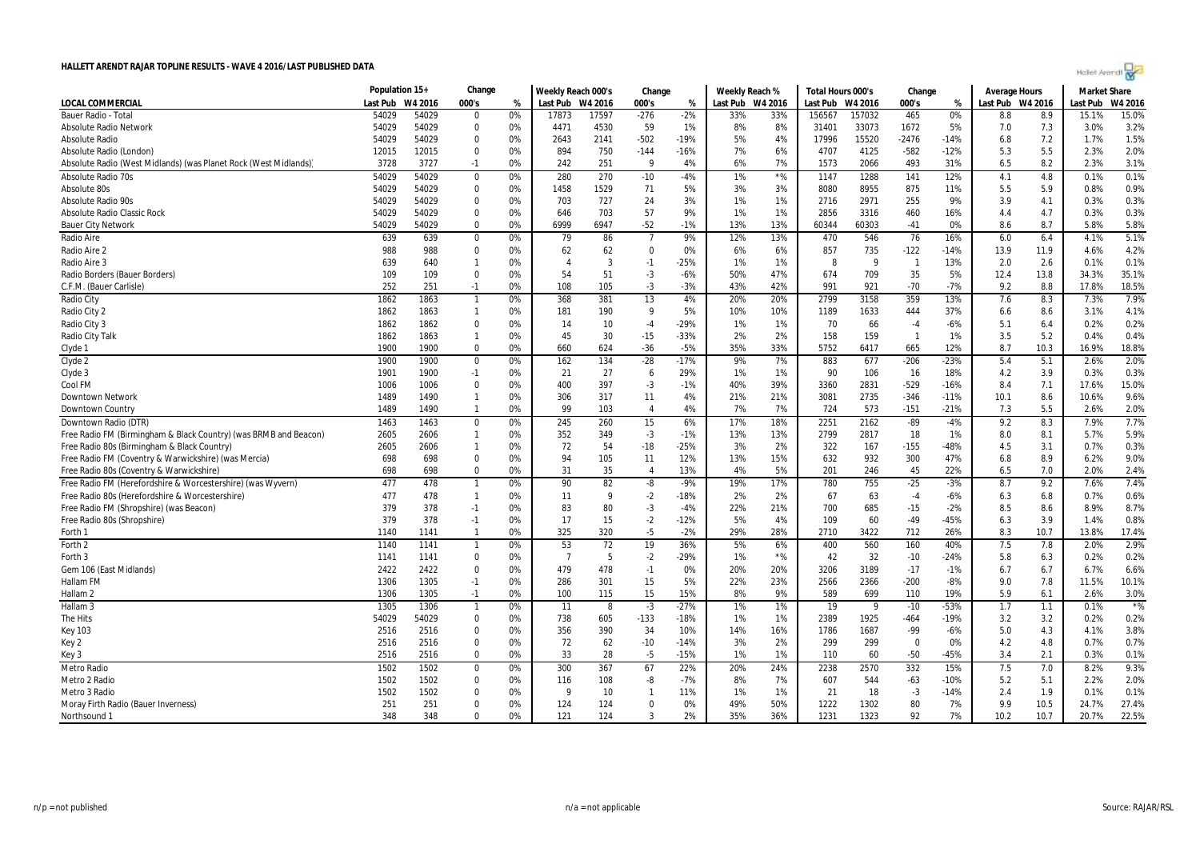|  | Holet Arendi |  |
|--|--------------|--|
|  |              |  |

|                                                                  | Population 15+ |         | Change         |    | Weekly Reach 000's |       | Change         |        | Weekly Reach % |           | Total Hours 000's |         | Change                   |        | <b>Average Hours</b> |         | <b>Market Share</b> |         |
|------------------------------------------------------------------|----------------|---------|----------------|----|--------------------|-------|----------------|--------|----------------|-----------|-------------------|---------|--------------------------|--------|----------------------|---------|---------------------|---------|
| <b>LOCAL COMMERCIAL</b>                                          | Last Pub       | W4 2016 | 000's          | %  | Last Pub W4 2016   |       | 000's          | %      | Last Pub       | W4 2016   | Last Pub          | W4 2016 | 000's                    | %      | Last Pub             | W4 2016 | ast Pub             | W4 2016 |
| Bauer Radio - Tota                                               | 54029          | 54029   | $\mathbf{0}$   | 0% | 17873              | 17597 | $-276$         | $-2%$  | 33%            | 33%       | 156567            | 157032  | 465                      | 0%     | 8.8                  | 8.9     | 15.1%               | 15.0%   |
| <b>Absolute Radio Network</b>                                    | 54029          | 54029   | 0              | 0% | 4471               | 4530  | 59             | 1%     | 8%             | 8%        | 31401             | 33073   | 1672                     | 5%     | 7.0                  | 7.3     | 3.0%                | 3.2%    |
| <b>Absolute Radio</b>                                            | 54029          | 54029   | $\mathbf 0$    | 0% | 2643               | 2141  | $-502$         | $-19%$ | 5%             | 4%        | 17996             | 15520   | $-2476$                  | $-14%$ | 6.8                  | 7.2     | 1.7%                | 1.5%    |
| Absolute Radio (London)                                          | 12015          | 12015   | 0              | 0% | 894                | 750   | $-144$         | -16%   | 7%             | 6%        | 4707              | 4125    | $-582$                   | $-12%$ | 5.3                  | 5.5     | 2.3%                | 2.0%    |
| Absolute Radio (West Midlands) (was Planet Rock (West Midlands)  | 3728           | 3727    | $-1$           | 0% | 242                | 251   | 9              | 4%     | 6%             | 7%        | 1573              | 2066    | 493                      | 31%    | 6.5                  | 8.2     | 2.3%                | 3.1%    |
| <b>Absolute Radio 70s</b>                                        | 54029          | 54029   | 0              | 0% | 280                | 270   | $-10$          | $-4%$  | 1%             | $\star$ % | 1147              | 1288    | 141                      | 12%    | 4.1                  | 4.8     | 0.1%                | 0.1%    |
| Absolute 80s                                                     | 54029          | 54029   | $\mathbf 0$    | 0% | 1458               | 1529  | 71             | 5%     | 3%             | 3%        | 8080              | 8955    | 875                      | 11%    | 5.5                  | 5.9     | 0.8%                | 0.9%    |
| <b>Absolute Radio 90s</b>                                        | 54029          | 54029   | 0              | 0% | 703                | 727   | 24             | 3%     | 1%             | 1%        | 2716              | 2971    | 255                      | 9%     | 3.9                  | 4.1     | 0.3%                | 0.3%    |
| <b>Absolute Radio Classic Rock</b>                               | 54029          | 54029   | 0              | 0% | 646                | 703   | 57             | 9%     | 1%             | 1%        | 2856              | 3316    | 460                      | 16%    | 4.4                  | 4.7     | 0.3%                | 0.3%    |
| <b>Bauer City Network</b>                                        | 54029          | 54029   | $\Omega$       | 0% | 6999               | 6947  | $-52$          | $-1%$  | 13%            | 13%       | 60344             | 60303   | $-41$                    | 0%     | 8.6                  | 8.7     | 5.8%                | 5.8%    |
| Radio Aire                                                       | 639            | 639     | $\pmb{0}$      | 0% | 79                 | 86    | $\overline{7}$ | 9%     | 12%            | 13%       | 470               | 546     | 76                       | 16%    | 6.0                  | 6.4     | 4.1%                | 5.1%    |
| Radio Aire 2                                                     | 988            | 988     | $\Omega$       | 0% | 62                 | 62    | $\mathbf 0$    | 0%     | 6%             | 6%        | 857               | 735     | $-122$                   | $-14%$ | 13.9                 | 11.9    | 4.6%                | 4.2%    |
| Radio Aire 3                                                     | 639            | 640     | $\mathbf{1}$   | 0% | $\overline{4}$     | 3     | $-1$           | $-25%$ | 1%             | 1%        | 8                 | - 9     | $\overline{1}$           | 13%    | 2.0                  | 2.6     | 0.1%                | 0.1%    |
| Radio Borders (Bauer Borders)                                    | 109            | 109     | $\Omega$       | 0% | 54                 | 51    | $-3$           | $-6%$  | 50%            | 47%       | 674               | 709     | 35                       | 5%     | 12.4                 | 13.8    | 34.3%               | 35.1%   |
| C.F.M. (Bauer Carlisle)                                          | 252            | 251     | $-1$           | 0% | 108                | 105   | $-3$           | $-3%$  | 43%            | 42%       | 991               | 921     | $-70$                    | $-7%$  | 9.2                  | 8.8     | 17.8%               | 18.5%   |
| Radio City                                                       | 1862           | 1863    | $\overline{1}$ | 0% | 368                | 381   | 13             | 4%     | 20%            | 20%       | 2799              | 3158    | 359                      | 13%    | 7.6                  | 8.3     | 7.3%                | 7.9%    |
| Radio City 2                                                     | 1862           | 1863    | $\mathbf{1}$   | 0% | 181                | 190   | 9              | 5%     | 10%            | 10%       | 1189              | 1633    | 444                      | 37%    | 6.6                  | 8.6     | 3.1%                | 4.1%    |
| Radio City 3                                                     | 1862           | 1862    | 0              | 0% | 14                 | 10    | $-4$           | $-29%$ | 1%             | 1%        | 70                | 66      | $-4$                     | $-6%$  | 5.1                  | 6.4     | 0.2%                | 0.2%    |
| Radio City Talk                                                  | 1862           | 1863    | $\mathbf{1}$   | 0% | 45                 | 30    | $-15$          | $-33%$ | 2%             | 2%        | 158               | 159     | $\overline{\phantom{0}}$ | 1%     | 3.5                  | 5.2     | 0.4%                | 0.4%    |
| Clyde 1                                                          | 1900           | 1900    | $\Omega$       | 0% | 660                | 624   | $-36$          | $-5%$  | 35%            | 33%       | 5752              | 6417    | 665                      | 12%    | 8.7                  | 10.3    | 16.9%               | 18.8%   |
| Clyde 2                                                          | 1900           | 1900    | $\mathbf 0$    | 0% | 162                | 134   | $-28$          | $-17%$ | 9%             | 7%        | 883               | 677     | $-206$                   | $-23%$ | 5.4                  | 5.1     | 2.6%                | 2.0%    |
| Clyde 3                                                          | 1901           | 1900    | $-1$           | 0% | 21                 | 27    | 6              | 29%    | 1%             | 1%        | 90                | 106     | 16                       | 18%    | 4.2                  | 3.9     | 0.3%                | 0.3%    |
| Cool FM                                                          | 1006           | 1006    | $\mathbf 0$    | 0% | 400                | 397   | $-3$           | $-1%$  | 40%            | 39%       | 3360              | 2831    | $-529$                   | $-16%$ | 8.4                  | 7.1     | 17.6%               | 15.0%   |
| <b>Downtown Network</b>                                          | 1489           | 1490    | $\mathbf{1}$   | 0% | 306                | 317   | 11             | 4%     | 21%            | 21%       | 3081              | 2735    | $-346$                   | $-11%$ | 10.1                 | 8.6     | 10.6%               | 9.6%    |
| Downtown Country                                                 | 1489           | 1490    | $\mathbf{1}$   | 0% | 99                 | 103   | 4              | 4%     | 7%             | 7%        | 724               | 573     | $-151$                   | $-21%$ | 7.3                  | 5.5     | 2.6%                | 2.0%    |
| Downtown Radio (DTR)                                             | 1463           | 1463    | $\mathbf 0$    | 0% | 245                | 260   | 15             | 6%     | 17%            | 18%       | 2251              | 2162    | $-89$                    | $-4%$  | 9.2                  | 8.3     | 7.9%                | 7.7%    |
| Free Radio FM (Birmingham & Black Country) (was BRMB and Beacon) | 2605           | 2606    | $\mathbf{1}$   | 0% | 352                | 349   | $-3$           | $-1%$  | 13%            | 13%       | 2799              | 2817    | 18                       | 1%     | 8.0                  | 8.1     | 5.7%                | 5.9%    |
| Free Radio 80s (Birmingham & Black Country)                      | 2605           | 2606    | $\mathbf{1}$   | 0% | 72                 | 54    | $-18$          | $-25%$ | 3%             | 2%        | 322               | 167     | $-155$                   | -48%   | 4.5                  | 3.1     | 0.7%                | 0.3%    |
| Free Radio FM (Coventry & Warwickshire) (was Mercia)             | 698            | 698     | 0              | 0% | 94                 | 105   | 11             | 12%    | 13%            | 15%       | 632               | 932     | 300                      | 47%    | 6.8                  | 8.9     | 6.2%                | 9.0%    |
| Free Radio 80s (Coventry & Warwickshire)                         | 698            | 698     | $\Omega$       | 0% | 31                 | 35    | $\overline{4}$ | 13%    | 4%             | 5%        | 201               | 246     | 45                       | 22%    | 6.5                  | 7.0     | 2.0%                | 2.4%    |
| Free Radio FM (Herefordshire & Worcestershire) (was Wyvern)      | 477            | 478     | $\overline{1}$ | 0% | 90                 | 82    | -8             | $-9%$  | 19%            | 17%       | 780               | 755     | $-25$                    | $-3%$  | 8.7                  | 9.2     | 7.6%                | 7.4%    |
| Free Radio 80s (Herefordshire & Worcestershire)                  | 477            | 478     | $\mathbf{1}$   | 0% | 11                 | -9    | $-2$           | $-18%$ | 2%             | 2%        | 67                | 63      | $-4$                     | $-6%$  | 6.3                  | 6.8     | 0.7%                | 0.6%    |
| Free Radio FM (Shropshire) (was Beacon)                          | 379            | 378     | $-1$           | 0% | 83                 | 80    | $-3$           | $-4%$  | 22%            | 21%       | 700               | 685     | $-15$                    | $-2%$  | 8.5                  | 8.6     | 8.9%                | 8.7%    |
| Free Radio 80s (Shropshire)                                      | 379            | 378     | $-1$           | 0% | 17                 | 15    | $-2$           | $-12%$ | 5%             | 4%        | 109               | 60      | $-49$                    | $-45%$ | 6.3                  | 3.9     | 1.4%                | 0.8%    |
| Forth 1                                                          | 1140           | 1141    | $\mathbf{1}$   | 0% | 325                | 320   | $-5$           | $-2%$  | 29%            | 28%       | 2710              | 3422    | 712                      | 26%    | 8.3                  | 10.7    | 13.8%               | 17.4%   |
| Forth 2                                                          | 1140           | 1141    | $\mathbf{1}$   | 0% | 53                 | 72    | 19             | 36%    | 5%             | 6%        | 400               | 560     | 160                      | 40%    | 7.5                  | 7.8     | 2.0%                | 2.9%    |
| Forth 3                                                          | 1141           | 1141    | $\mathbf 0$    | 0% | $\overline{7}$     | 5     | $-2$           | $-29%$ | 1%             | $*$ %     | 42                | 32      | $-10$                    | $-24%$ | 5.8                  | 6.3     | 0.2%                | 0.2%    |
| Gem 106 (East Midlands)                                          | 2422           | 2422    | 0              | 0% | 479                | 478   | $-1$           | 0%     | 20%            | 20%       | 3206              | 3189    | $-17$                    | $-1%$  | 6.7                  | 6.7     | 6.7%                | 6.6%    |
| Hallam FM                                                        | 1306           | 1305    | $-1$           | 0% | 286                | 301   | 15             | 5%     | 22%            | 23%       | 2566              | 2366    | $-200$                   | $-8%$  | 9.0                  | 7.8     | 11.5%               | 10.1%   |
| Hallam <sub>2</sub>                                              | 1306           | 1305    | $-1$           | 0% | 100                | 115   | 15             | 15%    | 8%             | 9%        | 589               | 699     | 110                      | 19%    | 5.9                  | 6.1     | 2.6%                | 3.0%    |
| Hallam <sub>3</sub>                                              | 1305           | 1306    | $\mathbf{1}$   | 0% | 11                 | 8     | $-3$           | $-27%$ | 1%             | 1%        | 19                | - 9     | $-10$                    | $-53%$ | 1.7                  | 1.1     | 0.1%                | $*$ %   |
| The Hits                                                         | 54029          | 54029   | $\Omega$       | 0% | 738                | 605   | $-133$         | $-18%$ | 1%             | 1%        | 2389              | 1925    | $-464$                   | $-19%$ | 3.2                  | 3.2     | 0.2%                | 0.2%    |
| <b>Key 103</b>                                                   | 2516           | 2516    | $\mathbf 0$    | 0% | 356                | 390   | 34             | 10%    | 14%            | 16%       | 1786              | 1687    | $-99$                    | $-6%$  | 5.0                  | 4.3     | 4.1%                | 3.8%    |
| Key 2                                                            | 2516           | 2516    | $\mathbf 0$    | 0% | 72                 | 62    | $-10$          | $-14%$ | 3%             | 2%        | 299               | 299     | $\overline{\mathbf{0}}$  | 0%     | 4.2                  | 4.8     | 0.7%                | 0.7%    |
| Key 3                                                            | 2516           | 2516    | $\mathbf{0}$   | 0% | 33                 | 28    | -5             | $-15%$ | 1%             | 1%        | 110               | 60      | $-50$                    | -45%   | 3.4                  | 2.1     | 0.3%                | 0.1%    |
| Metro Radio                                                      | 1502           | 1502    | $\mathbf 0$    | 0% | 300                | 367   | 67             | 22%    | 20%            | 24%       | 2238              | 2570    | 332                      | 15%    | 7.5                  | 7.0     | 8.2%                | 9.3%    |
| Metro 2 Radio                                                    | 1502           | 1502    | 0              | 0% | 116                | 108   | -8             | $-7%$  | 8%             | 7%        | 607               | 544     | $-63$                    | -10%   | 5.2                  | 5.1     | 2.2%                | 2.0%    |
| Metro 3 Radio                                                    | 1502           | 1502    | 0              | 0% | q                  | 10    | $\mathbf{1}$   | 11%    | 1%             | 1%        | 21                | 18      | $-3$                     | $-14%$ | 2.4                  | 1.9     | 0.1%                | 0.1%    |
| Moray Firth Radio (Bauer Inverness)                              | 251            | 251     | $\mathbf 0$    | 0% | 124                | 124   | $\mathbf 0$    | 0%     | 49%            | 50%       | 1222              | 1302    | 80                       | 7%     | 9.9                  | 10.5    | 24.7%               | 27.4%   |
| Northsound 1                                                     | 348            | 348     | $\Omega$       | 0% | 121                | 124   | 3              | 2%     | 35%            | 36%       | 1231              | 1323    | 92                       | 7%     | 10.2                 | 10.7    | 20.7%               | 22.5%   |
|                                                                  |                |         |                |    |                    |       |                |        |                |           |                   |         |                          |        |                      |         |                     |         |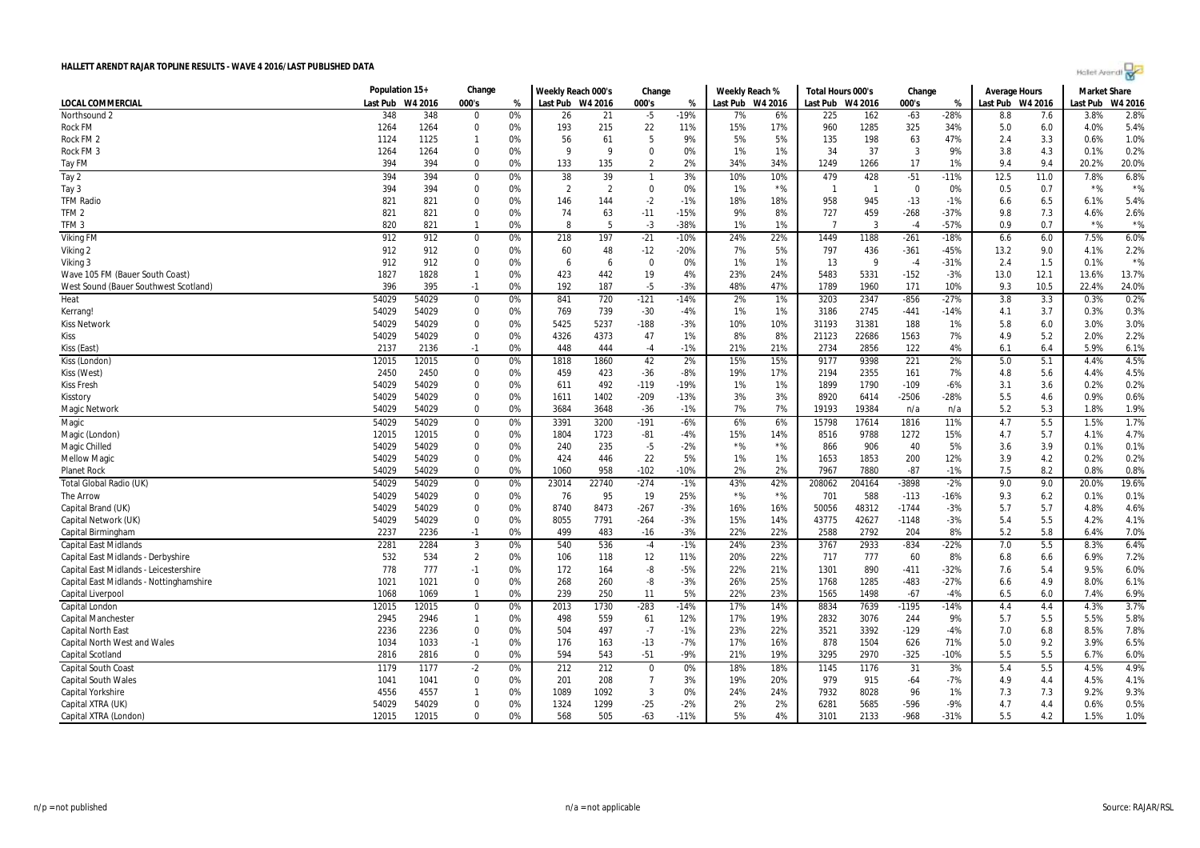| Holet Arendi |  |
|--------------|--|
|--------------|--|

| LOCAL COMMERCIAL<br>Last Pub<br>W4 2016<br>000's<br>Last Pub W4 2016<br>000's<br>Last Pub W4 2016<br>Last Pub W4 2016<br>000's<br>Last Pub W4 2016<br>Last Pub<br>W4 2016<br>%<br>%<br>%<br>Northsound 2<br>348<br>348<br>0%<br>$-5$<br>$-19%$<br>$-63$<br>$-28%$<br>3.8%<br>2.8%<br>21<br>6%<br>225<br>162<br>8.8<br>7.6<br>26<br>7%<br>$\Omega$<br>5.4%<br><b>Rock FM</b><br>1264<br>1264<br>$\Omega$<br>0%<br>193<br>215<br>22<br>11%<br>15%<br>17%<br>1285<br>325<br>34%<br>4.0%<br>960<br>5.0<br>6.0<br>1.0%<br>1124<br>1125<br>0%<br>56<br>61<br>-5<br>9%<br>5%<br>5%<br>198<br>63<br>47%<br>3.3<br>0.6%<br>Rock FM 2<br>$\mathbf{1}$<br>135<br>2.4<br>0.2%<br>$\mathbf 0$<br>1%<br>1%<br>37<br>3<br>9%<br>4.3<br>Rock FM 3<br>1264<br>1264<br>0%<br>9<br>q<br>$\mathbf 0$<br>0%<br>34<br>3.8<br>0.1%<br>394<br>133<br>$\overline{2}$<br>2%<br>17<br>9.4<br>9.4<br>20.0%<br>Tay FM<br>394<br>$\Omega$<br>0%<br>135<br>34%<br>34%<br>1249<br>1266<br>1%<br>20.2%<br>394<br>Tay 2<br>38<br>39<br>479<br>428<br>$-51$<br>12.5<br>7.8%<br>6.8%<br>394<br>3%<br>10%<br>10%<br>$-11%$<br>11.0<br>0<br>0%<br>$\mathbf{1}$<br>$*$ %<br>394<br>394<br>$\overline{2}$<br>$\mathbf 0$<br>$*$ %<br>$*$ %<br>Tay 3<br>$\Omega$<br>0%<br>$\overline{2}$<br>0%<br>1%<br>$\overline{1}$<br>$\Omega$<br>0.5<br>0.7<br>$\overline{1}$<br>0%<br>945<br>5.4%<br><b>TFM Radio</b><br>821<br>821<br>$\Omega$<br>0%<br>146<br>144<br>$-2$<br>$-1%$<br>18%<br>18%<br>958<br>$-13$<br>$-1%$<br>6.5<br>6.1%<br>6.6<br>459<br>2.6%<br>TFM <sub>2</sub><br>821<br>821<br>74<br>63<br>9%<br>727<br>$-268$<br>$-37%$<br>9.8<br>7.3<br>$\Omega$<br>0%<br>$-11$<br>$-15%$<br>8%<br>4.6%<br>$*$ %<br>$*$ %<br>TFM <sub>3</sub><br>820<br>821<br>0%<br>8<br>-5<br>$-3$<br>$-38%$<br>1%<br>1%<br>$\overline{7}$<br>3<br>$-57%$<br>0.9<br>0.7<br>$\mathbf{1}$<br>$-4$<br>6.0%<br>Viking FM<br>912<br>912<br>218<br>197<br>$-21$<br>$-10%$<br>22%<br>1188<br>$-261$<br>$-18%$<br>6.0<br>7.5%<br>0%<br>24%<br>1449<br>6.6<br>$\mathbf 0$<br>912<br>912<br>$\mathbf 0$<br>0%<br>7%<br>436<br>$-361$<br>9.0<br>2.2%<br>Viking 2<br>60<br>48<br>$-12$<br>$-20%$<br>5%<br>797<br>-45%<br>13.2<br>4.1%<br>$*$ %<br>912<br>912<br>$\mathbf 0$<br>0%<br>$\mathbf 0$<br>0%<br>1%<br>1%<br>13<br>9<br>$-31%$<br>2.4<br>1.5<br>0.1%<br>Viking 3<br>6<br>6<br>$-4$<br>423<br>19<br>5331<br>12.1<br>13.7%<br>1827<br>1828<br>0%<br>442<br>4%<br>23%<br>24%<br>5483<br>$-152$<br>$-3%$<br>13.0<br>13.6%<br>Wave 105 FM (Bauer South Coast)<br>$\mathbf{1}$<br>396<br>395<br>192<br>$-5$<br>$-3%$<br>48%<br>47%<br>171<br>10.5<br>24.0%<br>West Sound (Bauer Southwest Scotland)<br>$-1$<br>0%<br>187<br>1789<br>1960<br>10%<br>9.3<br>22.4%<br>0.2%<br>54029<br>54029<br>841<br>720<br>$-121$<br>2%<br>1%<br>3203<br>2347<br>$-856$<br>$-27%$<br>3.8<br>3.3<br>0.3%<br>Heat<br>$\mathbf 0$<br>0%<br>$-14%$<br>0.3%<br>54029<br>54029<br>0%<br>769<br>739<br>$-30$<br>$-4%$<br>1%<br>1%<br>3186<br>2745<br>$-441$<br>$-14%$<br>3.7<br>$\mathbf 0$<br>4.1<br>0.3%<br>Kerrang!<br>3.0%<br>54029<br>5425<br>5237<br>31381<br>54029<br>$\mathbf 0$<br>0%<br>$-188$<br>-3%<br>10%<br>10%<br>31193<br>188<br>1%<br>5.8<br>6.0<br>3.0%<br><b>Kiss Network</b><br>4373<br>22686<br>2.2%<br>54029<br>54029<br>$\mathbf 0$<br>0%<br>4326<br>47<br>1%<br>8%<br>8%<br>21123<br>1563<br>7%<br>4.9<br>5.2<br>2.0%<br>Kiss<br>0%<br>$-1%$<br>21%<br>21%<br>2856<br>122<br>4%<br>5.9%<br>6.1%<br>2137<br>2136<br>$-1$<br>448<br>444<br>$-4$<br>2734<br>6.1<br>6.4<br>Kiss (East)<br>4.5%<br>Kiss (London)<br>12015<br>12015<br>$\mathbf 0$<br>0%<br>1818<br>1860<br>42<br>2%<br>15%<br>15%<br>9177<br>9398<br>221<br>2%<br>5.0<br>5.1<br>4.4%<br>$-8%$<br>2355<br>4.5%<br>Kiss (West)<br>2450<br>2450<br>$\Omega$<br>0%<br>459<br>423<br>$-36$<br>19%<br>17%<br>2194<br>161<br>7%<br>4.8<br>5.6<br>4.4%<br>0.2%<br>54029<br>54029<br>$\mathbf 0$<br>0%<br>492<br>$-119$<br>$-19%$<br>1%<br>1%<br>1899<br>1790<br>$-109$<br>3.1<br>3.6<br>0.2%<br><b>Kiss Fresh</b><br>611<br>$-6%$<br>3%<br>$-2506$<br>0.6%<br>54029<br>54029<br>$\mathbf 0$<br>0%<br>1402<br>$-209$<br>$-13%$<br>3%<br>8920<br>6414<br>$-28%$<br>5.5<br>4.6<br>0.9%<br>1611<br>Kisstory<br>1.9%<br>54029<br>0%<br>7%<br>7%<br>19193<br>19384<br>5.2<br>5.3<br>Magic Network<br>54029<br>$\mathbf 0$<br>3684<br>3648<br>$-36$<br>$-1%$<br>n/a<br>n/a<br>1.8%<br>3200<br>5.5<br>1.5%<br>1.7%<br>Magic<br>54029<br>54029<br>0%<br>3391<br>$-191$<br>$-6%$<br>6%<br>6%<br>15798<br>17614<br>1816<br>11%<br>4.7<br>$\mathbf 0$<br>4.7%<br>9788<br>1272<br>5.7<br>12015<br>12015<br>$\mathbf 0$<br>0%<br>1804<br>1723<br>-81<br>-4%<br>15%<br>14%<br>8516<br>15%<br>4.7<br>4.1%<br>Magic (London<br>$*$ %<br>$*$ %<br>0.1%<br>54029<br>0%<br>235<br>$-5$<br>906<br>40<br>Magic Chilled<br>54029<br>$\Omega$<br>240<br>$-2%$<br>866<br>5%<br>3.6<br>3.9<br>0.1%<br>0.2%<br>54029<br>54029<br>$\Omega$<br>0%<br>424<br>22<br>5%<br>1%<br>1%<br>1853<br>200<br>12%<br>4.2<br>0.2%<br><b>Mellow Magic</b><br>446<br>1653<br>3.9<br>0.8%<br>54029<br>54029<br>$\mathbf 0$<br>0%<br>1060<br>958<br>$-102$<br>$-10%$<br>2%<br>2%<br>7967<br>7880<br>$-87$<br>7.5<br>8.2<br>0.8%<br><b>Planet Rock</b><br>$-1%$<br>22740<br>43%<br>42%<br>-3898<br>$-2%$<br>9.0<br>19.6%<br>Total Global Radio (UK)<br>54029<br>54029<br>$\Omega$<br>0%<br>23014<br>$-274$<br>$-1%$<br>208062<br>204164<br>9.0<br>20.0%<br>$*$ %<br>0.1%<br>95<br>$*$ %<br>588<br>$-113$<br>The Arrow<br>54029<br>54029<br>$\mathbf 0$<br>0%<br>76<br>19<br>25%<br>701<br>$-16%$<br>9.3<br>6.2<br>0.1%<br>8473<br>5.7<br>4.6%<br>54029<br>54029<br>$\mathbf 0$<br>0%<br>$-267$<br>$-3%$<br>16%<br>48312<br>$-1744$<br>$-3%$<br>5.7<br>Capital Brand (UK)<br>8740<br>16%<br>50056<br>4.8%<br>54029<br>54029<br>7791<br>$-3%$<br>15%<br>14%<br>43775<br>42627<br>$-1148$<br>5.5<br>4.2%<br>4.1%<br>Capital Network (UK)<br>$\mathbf 0$<br>0%<br>8055<br>$-264$<br>$-3%$<br>5.4<br>5.8<br>7.0%<br>Capital Birmingham<br>2237<br>2236<br>$-1$<br>0%<br>499<br>483<br>$-3%$<br>22%<br>22%<br>2588<br>2792<br>204<br>8%<br>5.2<br>6.4%<br>$-16$<br>6.4%<br>2281<br>2284<br>$\mathbf{3}$<br>536<br>24%<br>23%<br>3767<br>2933<br>$-834$<br>$-22%$<br>7.0<br>5.5<br>8.3%<br><b>Capital East Midlands</b><br>0%<br>540<br>$-4$<br>$-1%$<br>532<br>$\overline{2}$<br>777<br>7.2%<br>534<br>12<br>20%<br>22%<br>717<br>60<br>8%<br>Capital East Midlands - Derbyshire<br>0%<br>106<br>118<br>11%<br>6.8<br>6.6<br>6.9%<br>778<br>21%<br>890<br>9.5%<br>6.0%<br>Capital East Midlands - Leicestershire<br>777<br>$-1$<br>0%<br>172<br>164<br>-8<br>$-5%$<br>22%<br>1301<br>$-411$<br>$-32%$<br>5.4<br>7.6 |
|----------------------------------------------------------------------------------------------------------------------------------------------------------------------------------------------------------------------------------------------------------------------------------------------------------------------------------------------------------------------------------------------------------------------------------------------------------------------------------------------------------------------------------------------------------------------------------------------------------------------------------------------------------------------------------------------------------------------------------------------------------------------------------------------------------------------------------------------------------------------------------------------------------------------------------------------------------------------------------------------------------------------------------------------------------------------------------------------------------------------------------------------------------------------------------------------------------------------------------------------------------------------------------------------------------------------------------------------------------------------------------------------------------------------------------------------------------------------------------------------------------------------------------------------------------------------------------------------------------------------------------------------------------------------------------------------------------------------------------------------------------------------------------------------------------------------------------------------------------------------------------------------------------------------------------------------------------------------------------------------------------------------------------------------------------------------------------------------------------------------------------------------------------------------------------------------------------------------------------------------------------------------------------------------------------------------------------------------------------------------------------------------------------------------------------------------------------------------------------------------------------------------------------------------------------------------------------------------------------------------------------------------------------------------------------------------------------------------------------------------------------------------------------------------------------------------------------------------------------------------------------------------------------------------------------------------------------------------------------------------------------------------------------------------------------------------------------------------------------------------------------------------------------------------------------------------------------------------------------------------------------------------------------------------------------------------------------------------------------------------------------------------------------------------------------------------------------------------------------------------------------------------------------------------------------------------------------------------------------------------------------------------------------------------------------------------------------------------------------------------------------------------------------------------------------------------------------------------------------------------------------------------------------------------------------------------------------------------------------------------------------------------------------------------------------------------------------------------------------------------------------------------------------------------------------------------------------------------------------------------------------------------------------------------------------------------------------------------------------------------------------------------------------------------------------------------------------------------------------------------------------------------------------------------------------------------------------------------------------------------------------------------------------------------------------------------------------------------------------------------------------------------------------------------------------------------------------------------------------------------------------------------------------------------------------------------------------------------------------------------------------------------------------------------------------------------------------------------------------------------------------------------------------------------------------------------------------------------------------------------------------------------------------------------------------------------------------------------------------------------------------------------------------------------------------------------------------------------------------------------------------------------------------------------------------------------------------------------------------------------------------------------------------------------------------------------------------------------------------------------------------------------------------------------------------------------------------------------------------------------------------------------------------------------------------------------------------------------------------------------------------------------------------------------------------------------------------------------------------------------------------------------------------------------------------------------------------------------------------------------------------------------------------------------------------------------------------------------------------------------------------------------------------------------------------------------------------------------------------------------------------------------------------------------------------------------------------------------------------------------------------------------------|
|                                                                                                                                                                                                                                                                                                                                                                                                                                                                                                                                                                                                                                                                                                                                                                                                                                                                                                                                                                                                                                                                                                                                                                                                                                                                                                                                                                                                                                                                                                                                                                                                                                                                                                                                                                                                                                                                                                                                                                                                                                                                                                                                                                                                                                                                                                                                                                                                                                                                                                                                                                                                                                                                                                                                                                                                                                                                                                                                                                                                                                                                                                                                                                                                                                                                                                                                                                                                                                                                                                                                                                                                                                                                                                                                                                                                                                                                                                                                                                                                                                                                                                                                                                                                                                                                                                                                                                                                                                                                                                                                                                                                                                                                                                                                                                                                                                                                                                                                                                                                                                                                                                                                                                                                                                                                                                                                                                                                                                                                                                                                                                                                                                                                                                                                                                                                                                                                                                                                                                                                                                                                                                                                                                                                                                                                                                                                                                                                                                                                                                                                                                                                                                                    |
|                                                                                                                                                                                                                                                                                                                                                                                                                                                                                                                                                                                                                                                                                                                                                                                                                                                                                                                                                                                                                                                                                                                                                                                                                                                                                                                                                                                                                                                                                                                                                                                                                                                                                                                                                                                                                                                                                                                                                                                                                                                                                                                                                                                                                                                                                                                                                                                                                                                                                                                                                                                                                                                                                                                                                                                                                                                                                                                                                                                                                                                                                                                                                                                                                                                                                                                                                                                                                                                                                                                                                                                                                                                                                                                                                                                                                                                                                                                                                                                                                                                                                                                                                                                                                                                                                                                                                                                                                                                                                                                                                                                                                                                                                                                                                                                                                                                                                                                                                                                                                                                                                                                                                                                                                                                                                                                                                                                                                                                                                                                                                                                                                                                                                                                                                                                                                                                                                                                                                                                                                                                                                                                                                                                                                                                                                                                                                                                                                                                                                                                                                                                                                                                    |
|                                                                                                                                                                                                                                                                                                                                                                                                                                                                                                                                                                                                                                                                                                                                                                                                                                                                                                                                                                                                                                                                                                                                                                                                                                                                                                                                                                                                                                                                                                                                                                                                                                                                                                                                                                                                                                                                                                                                                                                                                                                                                                                                                                                                                                                                                                                                                                                                                                                                                                                                                                                                                                                                                                                                                                                                                                                                                                                                                                                                                                                                                                                                                                                                                                                                                                                                                                                                                                                                                                                                                                                                                                                                                                                                                                                                                                                                                                                                                                                                                                                                                                                                                                                                                                                                                                                                                                                                                                                                                                                                                                                                                                                                                                                                                                                                                                                                                                                                                                                                                                                                                                                                                                                                                                                                                                                                                                                                                                                                                                                                                                                                                                                                                                                                                                                                                                                                                                                                                                                                                                                                                                                                                                                                                                                                                                                                                                                                                                                                                                                                                                                                                                                    |
|                                                                                                                                                                                                                                                                                                                                                                                                                                                                                                                                                                                                                                                                                                                                                                                                                                                                                                                                                                                                                                                                                                                                                                                                                                                                                                                                                                                                                                                                                                                                                                                                                                                                                                                                                                                                                                                                                                                                                                                                                                                                                                                                                                                                                                                                                                                                                                                                                                                                                                                                                                                                                                                                                                                                                                                                                                                                                                                                                                                                                                                                                                                                                                                                                                                                                                                                                                                                                                                                                                                                                                                                                                                                                                                                                                                                                                                                                                                                                                                                                                                                                                                                                                                                                                                                                                                                                                                                                                                                                                                                                                                                                                                                                                                                                                                                                                                                                                                                                                                                                                                                                                                                                                                                                                                                                                                                                                                                                                                                                                                                                                                                                                                                                                                                                                                                                                                                                                                                                                                                                                                                                                                                                                                                                                                                                                                                                                                                                                                                                                                                                                                                                                                    |
|                                                                                                                                                                                                                                                                                                                                                                                                                                                                                                                                                                                                                                                                                                                                                                                                                                                                                                                                                                                                                                                                                                                                                                                                                                                                                                                                                                                                                                                                                                                                                                                                                                                                                                                                                                                                                                                                                                                                                                                                                                                                                                                                                                                                                                                                                                                                                                                                                                                                                                                                                                                                                                                                                                                                                                                                                                                                                                                                                                                                                                                                                                                                                                                                                                                                                                                                                                                                                                                                                                                                                                                                                                                                                                                                                                                                                                                                                                                                                                                                                                                                                                                                                                                                                                                                                                                                                                                                                                                                                                                                                                                                                                                                                                                                                                                                                                                                                                                                                                                                                                                                                                                                                                                                                                                                                                                                                                                                                                                                                                                                                                                                                                                                                                                                                                                                                                                                                                                                                                                                                                                                                                                                                                                                                                                                                                                                                                                                                                                                                                                                                                                                                                                    |
|                                                                                                                                                                                                                                                                                                                                                                                                                                                                                                                                                                                                                                                                                                                                                                                                                                                                                                                                                                                                                                                                                                                                                                                                                                                                                                                                                                                                                                                                                                                                                                                                                                                                                                                                                                                                                                                                                                                                                                                                                                                                                                                                                                                                                                                                                                                                                                                                                                                                                                                                                                                                                                                                                                                                                                                                                                                                                                                                                                                                                                                                                                                                                                                                                                                                                                                                                                                                                                                                                                                                                                                                                                                                                                                                                                                                                                                                                                                                                                                                                                                                                                                                                                                                                                                                                                                                                                                                                                                                                                                                                                                                                                                                                                                                                                                                                                                                                                                                                                                                                                                                                                                                                                                                                                                                                                                                                                                                                                                                                                                                                                                                                                                                                                                                                                                                                                                                                                                                                                                                                                                                                                                                                                                                                                                                                                                                                                                                                                                                                                                                                                                                                                                    |
|                                                                                                                                                                                                                                                                                                                                                                                                                                                                                                                                                                                                                                                                                                                                                                                                                                                                                                                                                                                                                                                                                                                                                                                                                                                                                                                                                                                                                                                                                                                                                                                                                                                                                                                                                                                                                                                                                                                                                                                                                                                                                                                                                                                                                                                                                                                                                                                                                                                                                                                                                                                                                                                                                                                                                                                                                                                                                                                                                                                                                                                                                                                                                                                                                                                                                                                                                                                                                                                                                                                                                                                                                                                                                                                                                                                                                                                                                                                                                                                                                                                                                                                                                                                                                                                                                                                                                                                                                                                                                                                                                                                                                                                                                                                                                                                                                                                                                                                                                                                                                                                                                                                                                                                                                                                                                                                                                                                                                                                                                                                                                                                                                                                                                                                                                                                                                                                                                                                                                                                                                                                                                                                                                                                                                                                                                                                                                                                                                                                                                                                                                                                                                                                    |
|                                                                                                                                                                                                                                                                                                                                                                                                                                                                                                                                                                                                                                                                                                                                                                                                                                                                                                                                                                                                                                                                                                                                                                                                                                                                                                                                                                                                                                                                                                                                                                                                                                                                                                                                                                                                                                                                                                                                                                                                                                                                                                                                                                                                                                                                                                                                                                                                                                                                                                                                                                                                                                                                                                                                                                                                                                                                                                                                                                                                                                                                                                                                                                                                                                                                                                                                                                                                                                                                                                                                                                                                                                                                                                                                                                                                                                                                                                                                                                                                                                                                                                                                                                                                                                                                                                                                                                                                                                                                                                                                                                                                                                                                                                                                                                                                                                                                                                                                                                                                                                                                                                                                                                                                                                                                                                                                                                                                                                                                                                                                                                                                                                                                                                                                                                                                                                                                                                                                                                                                                                                                                                                                                                                                                                                                                                                                                                                                                                                                                                                                                                                                                                                    |
|                                                                                                                                                                                                                                                                                                                                                                                                                                                                                                                                                                                                                                                                                                                                                                                                                                                                                                                                                                                                                                                                                                                                                                                                                                                                                                                                                                                                                                                                                                                                                                                                                                                                                                                                                                                                                                                                                                                                                                                                                                                                                                                                                                                                                                                                                                                                                                                                                                                                                                                                                                                                                                                                                                                                                                                                                                                                                                                                                                                                                                                                                                                                                                                                                                                                                                                                                                                                                                                                                                                                                                                                                                                                                                                                                                                                                                                                                                                                                                                                                                                                                                                                                                                                                                                                                                                                                                                                                                                                                                                                                                                                                                                                                                                                                                                                                                                                                                                                                                                                                                                                                                                                                                                                                                                                                                                                                                                                                                                                                                                                                                                                                                                                                                                                                                                                                                                                                                                                                                                                                                                                                                                                                                                                                                                                                                                                                                                                                                                                                                                                                                                                                                                    |
|                                                                                                                                                                                                                                                                                                                                                                                                                                                                                                                                                                                                                                                                                                                                                                                                                                                                                                                                                                                                                                                                                                                                                                                                                                                                                                                                                                                                                                                                                                                                                                                                                                                                                                                                                                                                                                                                                                                                                                                                                                                                                                                                                                                                                                                                                                                                                                                                                                                                                                                                                                                                                                                                                                                                                                                                                                                                                                                                                                                                                                                                                                                                                                                                                                                                                                                                                                                                                                                                                                                                                                                                                                                                                                                                                                                                                                                                                                                                                                                                                                                                                                                                                                                                                                                                                                                                                                                                                                                                                                                                                                                                                                                                                                                                                                                                                                                                                                                                                                                                                                                                                                                                                                                                                                                                                                                                                                                                                                                                                                                                                                                                                                                                                                                                                                                                                                                                                                                                                                                                                                                                                                                                                                                                                                                                                                                                                                                                                                                                                                                                                                                                                                                    |
|                                                                                                                                                                                                                                                                                                                                                                                                                                                                                                                                                                                                                                                                                                                                                                                                                                                                                                                                                                                                                                                                                                                                                                                                                                                                                                                                                                                                                                                                                                                                                                                                                                                                                                                                                                                                                                                                                                                                                                                                                                                                                                                                                                                                                                                                                                                                                                                                                                                                                                                                                                                                                                                                                                                                                                                                                                                                                                                                                                                                                                                                                                                                                                                                                                                                                                                                                                                                                                                                                                                                                                                                                                                                                                                                                                                                                                                                                                                                                                                                                                                                                                                                                                                                                                                                                                                                                                                                                                                                                                                                                                                                                                                                                                                                                                                                                                                                                                                                                                                                                                                                                                                                                                                                                                                                                                                                                                                                                                                                                                                                                                                                                                                                                                                                                                                                                                                                                                                                                                                                                                                                                                                                                                                                                                                                                                                                                                                                                                                                                                                                                                                                                                                    |
|                                                                                                                                                                                                                                                                                                                                                                                                                                                                                                                                                                                                                                                                                                                                                                                                                                                                                                                                                                                                                                                                                                                                                                                                                                                                                                                                                                                                                                                                                                                                                                                                                                                                                                                                                                                                                                                                                                                                                                                                                                                                                                                                                                                                                                                                                                                                                                                                                                                                                                                                                                                                                                                                                                                                                                                                                                                                                                                                                                                                                                                                                                                                                                                                                                                                                                                                                                                                                                                                                                                                                                                                                                                                                                                                                                                                                                                                                                                                                                                                                                                                                                                                                                                                                                                                                                                                                                                                                                                                                                                                                                                                                                                                                                                                                                                                                                                                                                                                                                                                                                                                                                                                                                                                                                                                                                                                                                                                                                                                                                                                                                                                                                                                                                                                                                                                                                                                                                                                                                                                                                                                                                                                                                                                                                                                                                                                                                                                                                                                                                                                                                                                                                                    |
|                                                                                                                                                                                                                                                                                                                                                                                                                                                                                                                                                                                                                                                                                                                                                                                                                                                                                                                                                                                                                                                                                                                                                                                                                                                                                                                                                                                                                                                                                                                                                                                                                                                                                                                                                                                                                                                                                                                                                                                                                                                                                                                                                                                                                                                                                                                                                                                                                                                                                                                                                                                                                                                                                                                                                                                                                                                                                                                                                                                                                                                                                                                                                                                                                                                                                                                                                                                                                                                                                                                                                                                                                                                                                                                                                                                                                                                                                                                                                                                                                                                                                                                                                                                                                                                                                                                                                                                                                                                                                                                                                                                                                                                                                                                                                                                                                                                                                                                                                                                                                                                                                                                                                                                                                                                                                                                                                                                                                                                                                                                                                                                                                                                                                                                                                                                                                                                                                                                                                                                                                                                                                                                                                                                                                                                                                                                                                                                                                                                                                                                                                                                                                                                    |
|                                                                                                                                                                                                                                                                                                                                                                                                                                                                                                                                                                                                                                                                                                                                                                                                                                                                                                                                                                                                                                                                                                                                                                                                                                                                                                                                                                                                                                                                                                                                                                                                                                                                                                                                                                                                                                                                                                                                                                                                                                                                                                                                                                                                                                                                                                                                                                                                                                                                                                                                                                                                                                                                                                                                                                                                                                                                                                                                                                                                                                                                                                                                                                                                                                                                                                                                                                                                                                                                                                                                                                                                                                                                                                                                                                                                                                                                                                                                                                                                                                                                                                                                                                                                                                                                                                                                                                                                                                                                                                                                                                                                                                                                                                                                                                                                                                                                                                                                                                                                                                                                                                                                                                                                                                                                                                                                                                                                                                                                                                                                                                                                                                                                                                                                                                                                                                                                                                                                                                                                                                                                                                                                                                                                                                                                                                                                                                                                                                                                                                                                                                                                                                                    |
|                                                                                                                                                                                                                                                                                                                                                                                                                                                                                                                                                                                                                                                                                                                                                                                                                                                                                                                                                                                                                                                                                                                                                                                                                                                                                                                                                                                                                                                                                                                                                                                                                                                                                                                                                                                                                                                                                                                                                                                                                                                                                                                                                                                                                                                                                                                                                                                                                                                                                                                                                                                                                                                                                                                                                                                                                                                                                                                                                                                                                                                                                                                                                                                                                                                                                                                                                                                                                                                                                                                                                                                                                                                                                                                                                                                                                                                                                                                                                                                                                                                                                                                                                                                                                                                                                                                                                                                                                                                                                                                                                                                                                                                                                                                                                                                                                                                                                                                                                                                                                                                                                                                                                                                                                                                                                                                                                                                                                                                                                                                                                                                                                                                                                                                                                                                                                                                                                                                                                                                                                                                                                                                                                                                                                                                                                                                                                                                                                                                                                                                                                                                                                                                    |
|                                                                                                                                                                                                                                                                                                                                                                                                                                                                                                                                                                                                                                                                                                                                                                                                                                                                                                                                                                                                                                                                                                                                                                                                                                                                                                                                                                                                                                                                                                                                                                                                                                                                                                                                                                                                                                                                                                                                                                                                                                                                                                                                                                                                                                                                                                                                                                                                                                                                                                                                                                                                                                                                                                                                                                                                                                                                                                                                                                                                                                                                                                                                                                                                                                                                                                                                                                                                                                                                                                                                                                                                                                                                                                                                                                                                                                                                                                                                                                                                                                                                                                                                                                                                                                                                                                                                                                                                                                                                                                                                                                                                                                                                                                                                                                                                                                                                                                                                                                                                                                                                                                                                                                                                                                                                                                                                                                                                                                                                                                                                                                                                                                                                                                                                                                                                                                                                                                                                                                                                                                                                                                                                                                                                                                                                                                                                                                                                                                                                                                                                                                                                                                                    |
|                                                                                                                                                                                                                                                                                                                                                                                                                                                                                                                                                                                                                                                                                                                                                                                                                                                                                                                                                                                                                                                                                                                                                                                                                                                                                                                                                                                                                                                                                                                                                                                                                                                                                                                                                                                                                                                                                                                                                                                                                                                                                                                                                                                                                                                                                                                                                                                                                                                                                                                                                                                                                                                                                                                                                                                                                                                                                                                                                                                                                                                                                                                                                                                                                                                                                                                                                                                                                                                                                                                                                                                                                                                                                                                                                                                                                                                                                                                                                                                                                                                                                                                                                                                                                                                                                                                                                                                                                                                                                                                                                                                                                                                                                                                                                                                                                                                                                                                                                                                                                                                                                                                                                                                                                                                                                                                                                                                                                                                                                                                                                                                                                                                                                                                                                                                                                                                                                                                                                                                                                                                                                                                                                                                                                                                                                                                                                                                                                                                                                                                                                                                                                                                    |
|                                                                                                                                                                                                                                                                                                                                                                                                                                                                                                                                                                                                                                                                                                                                                                                                                                                                                                                                                                                                                                                                                                                                                                                                                                                                                                                                                                                                                                                                                                                                                                                                                                                                                                                                                                                                                                                                                                                                                                                                                                                                                                                                                                                                                                                                                                                                                                                                                                                                                                                                                                                                                                                                                                                                                                                                                                                                                                                                                                                                                                                                                                                                                                                                                                                                                                                                                                                                                                                                                                                                                                                                                                                                                                                                                                                                                                                                                                                                                                                                                                                                                                                                                                                                                                                                                                                                                                                                                                                                                                                                                                                                                                                                                                                                                                                                                                                                                                                                                                                                                                                                                                                                                                                                                                                                                                                                                                                                                                                                                                                                                                                                                                                                                                                                                                                                                                                                                                                                                                                                                                                                                                                                                                                                                                                                                                                                                                                                                                                                                                                                                                                                                                                    |
|                                                                                                                                                                                                                                                                                                                                                                                                                                                                                                                                                                                                                                                                                                                                                                                                                                                                                                                                                                                                                                                                                                                                                                                                                                                                                                                                                                                                                                                                                                                                                                                                                                                                                                                                                                                                                                                                                                                                                                                                                                                                                                                                                                                                                                                                                                                                                                                                                                                                                                                                                                                                                                                                                                                                                                                                                                                                                                                                                                                                                                                                                                                                                                                                                                                                                                                                                                                                                                                                                                                                                                                                                                                                                                                                                                                                                                                                                                                                                                                                                                                                                                                                                                                                                                                                                                                                                                                                                                                                                                                                                                                                                                                                                                                                                                                                                                                                                                                                                                                                                                                                                                                                                                                                                                                                                                                                                                                                                                                                                                                                                                                                                                                                                                                                                                                                                                                                                                                                                                                                                                                                                                                                                                                                                                                                                                                                                                                                                                                                                                                                                                                                                                                    |
|                                                                                                                                                                                                                                                                                                                                                                                                                                                                                                                                                                                                                                                                                                                                                                                                                                                                                                                                                                                                                                                                                                                                                                                                                                                                                                                                                                                                                                                                                                                                                                                                                                                                                                                                                                                                                                                                                                                                                                                                                                                                                                                                                                                                                                                                                                                                                                                                                                                                                                                                                                                                                                                                                                                                                                                                                                                                                                                                                                                                                                                                                                                                                                                                                                                                                                                                                                                                                                                                                                                                                                                                                                                                                                                                                                                                                                                                                                                                                                                                                                                                                                                                                                                                                                                                                                                                                                                                                                                                                                                                                                                                                                                                                                                                                                                                                                                                                                                                                                                                                                                                                                                                                                                                                                                                                                                                                                                                                                                                                                                                                                                                                                                                                                                                                                                                                                                                                                                                                                                                                                                                                                                                                                                                                                                                                                                                                                                                                                                                                                                                                                                                                                                    |
|                                                                                                                                                                                                                                                                                                                                                                                                                                                                                                                                                                                                                                                                                                                                                                                                                                                                                                                                                                                                                                                                                                                                                                                                                                                                                                                                                                                                                                                                                                                                                                                                                                                                                                                                                                                                                                                                                                                                                                                                                                                                                                                                                                                                                                                                                                                                                                                                                                                                                                                                                                                                                                                                                                                                                                                                                                                                                                                                                                                                                                                                                                                                                                                                                                                                                                                                                                                                                                                                                                                                                                                                                                                                                                                                                                                                                                                                                                                                                                                                                                                                                                                                                                                                                                                                                                                                                                                                                                                                                                                                                                                                                                                                                                                                                                                                                                                                                                                                                                                                                                                                                                                                                                                                                                                                                                                                                                                                                                                                                                                                                                                                                                                                                                                                                                                                                                                                                                                                                                                                                                                                                                                                                                                                                                                                                                                                                                                                                                                                                                                                                                                                                                                    |
|                                                                                                                                                                                                                                                                                                                                                                                                                                                                                                                                                                                                                                                                                                                                                                                                                                                                                                                                                                                                                                                                                                                                                                                                                                                                                                                                                                                                                                                                                                                                                                                                                                                                                                                                                                                                                                                                                                                                                                                                                                                                                                                                                                                                                                                                                                                                                                                                                                                                                                                                                                                                                                                                                                                                                                                                                                                                                                                                                                                                                                                                                                                                                                                                                                                                                                                                                                                                                                                                                                                                                                                                                                                                                                                                                                                                                                                                                                                                                                                                                                                                                                                                                                                                                                                                                                                                                                                                                                                                                                                                                                                                                                                                                                                                                                                                                                                                                                                                                                                                                                                                                                                                                                                                                                                                                                                                                                                                                                                                                                                                                                                                                                                                                                                                                                                                                                                                                                                                                                                                                                                                                                                                                                                                                                                                                                                                                                                                                                                                                                                                                                                                                                                    |
|                                                                                                                                                                                                                                                                                                                                                                                                                                                                                                                                                                                                                                                                                                                                                                                                                                                                                                                                                                                                                                                                                                                                                                                                                                                                                                                                                                                                                                                                                                                                                                                                                                                                                                                                                                                                                                                                                                                                                                                                                                                                                                                                                                                                                                                                                                                                                                                                                                                                                                                                                                                                                                                                                                                                                                                                                                                                                                                                                                                                                                                                                                                                                                                                                                                                                                                                                                                                                                                                                                                                                                                                                                                                                                                                                                                                                                                                                                                                                                                                                                                                                                                                                                                                                                                                                                                                                                                                                                                                                                                                                                                                                                                                                                                                                                                                                                                                                                                                                                                                                                                                                                                                                                                                                                                                                                                                                                                                                                                                                                                                                                                                                                                                                                                                                                                                                                                                                                                                                                                                                                                                                                                                                                                                                                                                                                                                                                                                                                                                                                                                                                                                                                                    |
|                                                                                                                                                                                                                                                                                                                                                                                                                                                                                                                                                                                                                                                                                                                                                                                                                                                                                                                                                                                                                                                                                                                                                                                                                                                                                                                                                                                                                                                                                                                                                                                                                                                                                                                                                                                                                                                                                                                                                                                                                                                                                                                                                                                                                                                                                                                                                                                                                                                                                                                                                                                                                                                                                                                                                                                                                                                                                                                                                                                                                                                                                                                                                                                                                                                                                                                                                                                                                                                                                                                                                                                                                                                                                                                                                                                                                                                                                                                                                                                                                                                                                                                                                                                                                                                                                                                                                                                                                                                                                                                                                                                                                                                                                                                                                                                                                                                                                                                                                                                                                                                                                                                                                                                                                                                                                                                                                                                                                                                                                                                                                                                                                                                                                                                                                                                                                                                                                                                                                                                                                                                                                                                                                                                                                                                                                                                                                                                                                                                                                                                                                                                                                                                    |
|                                                                                                                                                                                                                                                                                                                                                                                                                                                                                                                                                                                                                                                                                                                                                                                                                                                                                                                                                                                                                                                                                                                                                                                                                                                                                                                                                                                                                                                                                                                                                                                                                                                                                                                                                                                                                                                                                                                                                                                                                                                                                                                                                                                                                                                                                                                                                                                                                                                                                                                                                                                                                                                                                                                                                                                                                                                                                                                                                                                                                                                                                                                                                                                                                                                                                                                                                                                                                                                                                                                                                                                                                                                                                                                                                                                                                                                                                                                                                                                                                                                                                                                                                                                                                                                                                                                                                                                                                                                                                                                                                                                                                                                                                                                                                                                                                                                                                                                                                                                                                                                                                                                                                                                                                                                                                                                                                                                                                                                                                                                                                                                                                                                                                                                                                                                                                                                                                                                                                                                                                                                                                                                                                                                                                                                                                                                                                                                                                                                                                                                                                                                                                                                    |
|                                                                                                                                                                                                                                                                                                                                                                                                                                                                                                                                                                                                                                                                                                                                                                                                                                                                                                                                                                                                                                                                                                                                                                                                                                                                                                                                                                                                                                                                                                                                                                                                                                                                                                                                                                                                                                                                                                                                                                                                                                                                                                                                                                                                                                                                                                                                                                                                                                                                                                                                                                                                                                                                                                                                                                                                                                                                                                                                                                                                                                                                                                                                                                                                                                                                                                                                                                                                                                                                                                                                                                                                                                                                                                                                                                                                                                                                                                                                                                                                                                                                                                                                                                                                                                                                                                                                                                                                                                                                                                                                                                                                                                                                                                                                                                                                                                                                                                                                                                                                                                                                                                                                                                                                                                                                                                                                                                                                                                                                                                                                                                                                                                                                                                                                                                                                                                                                                                                                                                                                                                                                                                                                                                                                                                                                                                                                                                                                                                                                                                                                                                                                                                                    |
|                                                                                                                                                                                                                                                                                                                                                                                                                                                                                                                                                                                                                                                                                                                                                                                                                                                                                                                                                                                                                                                                                                                                                                                                                                                                                                                                                                                                                                                                                                                                                                                                                                                                                                                                                                                                                                                                                                                                                                                                                                                                                                                                                                                                                                                                                                                                                                                                                                                                                                                                                                                                                                                                                                                                                                                                                                                                                                                                                                                                                                                                                                                                                                                                                                                                                                                                                                                                                                                                                                                                                                                                                                                                                                                                                                                                                                                                                                                                                                                                                                                                                                                                                                                                                                                                                                                                                                                                                                                                                                                                                                                                                                                                                                                                                                                                                                                                                                                                                                                                                                                                                                                                                                                                                                                                                                                                                                                                                                                                                                                                                                                                                                                                                                                                                                                                                                                                                                                                                                                                                                                                                                                                                                                                                                                                                                                                                                                                                                                                                                                                                                                                                                                    |
|                                                                                                                                                                                                                                                                                                                                                                                                                                                                                                                                                                                                                                                                                                                                                                                                                                                                                                                                                                                                                                                                                                                                                                                                                                                                                                                                                                                                                                                                                                                                                                                                                                                                                                                                                                                                                                                                                                                                                                                                                                                                                                                                                                                                                                                                                                                                                                                                                                                                                                                                                                                                                                                                                                                                                                                                                                                                                                                                                                                                                                                                                                                                                                                                                                                                                                                                                                                                                                                                                                                                                                                                                                                                                                                                                                                                                                                                                                                                                                                                                                                                                                                                                                                                                                                                                                                                                                                                                                                                                                                                                                                                                                                                                                                                                                                                                                                                                                                                                                                                                                                                                                                                                                                                                                                                                                                                                                                                                                                                                                                                                                                                                                                                                                                                                                                                                                                                                                                                                                                                                                                                                                                                                                                                                                                                                                                                                                                                                                                                                                                                                                                                                                                    |
|                                                                                                                                                                                                                                                                                                                                                                                                                                                                                                                                                                                                                                                                                                                                                                                                                                                                                                                                                                                                                                                                                                                                                                                                                                                                                                                                                                                                                                                                                                                                                                                                                                                                                                                                                                                                                                                                                                                                                                                                                                                                                                                                                                                                                                                                                                                                                                                                                                                                                                                                                                                                                                                                                                                                                                                                                                                                                                                                                                                                                                                                                                                                                                                                                                                                                                                                                                                                                                                                                                                                                                                                                                                                                                                                                                                                                                                                                                                                                                                                                                                                                                                                                                                                                                                                                                                                                                                                                                                                                                                                                                                                                                                                                                                                                                                                                                                                                                                                                                                                                                                                                                                                                                                                                                                                                                                                                                                                                                                                                                                                                                                                                                                                                                                                                                                                                                                                                                                                                                                                                                                                                                                                                                                                                                                                                                                                                                                                                                                                                                                                                                                                                                                    |
|                                                                                                                                                                                                                                                                                                                                                                                                                                                                                                                                                                                                                                                                                                                                                                                                                                                                                                                                                                                                                                                                                                                                                                                                                                                                                                                                                                                                                                                                                                                                                                                                                                                                                                                                                                                                                                                                                                                                                                                                                                                                                                                                                                                                                                                                                                                                                                                                                                                                                                                                                                                                                                                                                                                                                                                                                                                                                                                                                                                                                                                                                                                                                                                                                                                                                                                                                                                                                                                                                                                                                                                                                                                                                                                                                                                                                                                                                                                                                                                                                                                                                                                                                                                                                                                                                                                                                                                                                                                                                                                                                                                                                                                                                                                                                                                                                                                                                                                                                                                                                                                                                                                                                                                                                                                                                                                                                                                                                                                                                                                                                                                                                                                                                                                                                                                                                                                                                                                                                                                                                                                                                                                                                                                                                                                                                                                                                                                                                                                                                                                                                                                                                                                    |
|                                                                                                                                                                                                                                                                                                                                                                                                                                                                                                                                                                                                                                                                                                                                                                                                                                                                                                                                                                                                                                                                                                                                                                                                                                                                                                                                                                                                                                                                                                                                                                                                                                                                                                                                                                                                                                                                                                                                                                                                                                                                                                                                                                                                                                                                                                                                                                                                                                                                                                                                                                                                                                                                                                                                                                                                                                                                                                                                                                                                                                                                                                                                                                                                                                                                                                                                                                                                                                                                                                                                                                                                                                                                                                                                                                                                                                                                                                                                                                                                                                                                                                                                                                                                                                                                                                                                                                                                                                                                                                                                                                                                                                                                                                                                                                                                                                                                                                                                                                                                                                                                                                                                                                                                                                                                                                                                                                                                                                                                                                                                                                                                                                                                                                                                                                                                                                                                                                                                                                                                                                                                                                                                                                                                                                                                                                                                                                                                                                                                                                                                                                                                                                                    |
|                                                                                                                                                                                                                                                                                                                                                                                                                                                                                                                                                                                                                                                                                                                                                                                                                                                                                                                                                                                                                                                                                                                                                                                                                                                                                                                                                                                                                                                                                                                                                                                                                                                                                                                                                                                                                                                                                                                                                                                                                                                                                                                                                                                                                                                                                                                                                                                                                                                                                                                                                                                                                                                                                                                                                                                                                                                                                                                                                                                                                                                                                                                                                                                                                                                                                                                                                                                                                                                                                                                                                                                                                                                                                                                                                                                                                                                                                                                                                                                                                                                                                                                                                                                                                                                                                                                                                                                                                                                                                                                                                                                                                                                                                                                                                                                                                                                                                                                                                                                                                                                                                                                                                                                                                                                                                                                                                                                                                                                                                                                                                                                                                                                                                                                                                                                                                                                                                                                                                                                                                                                                                                                                                                                                                                                                                                                                                                                                                                                                                                                                                                                                                                                    |
|                                                                                                                                                                                                                                                                                                                                                                                                                                                                                                                                                                                                                                                                                                                                                                                                                                                                                                                                                                                                                                                                                                                                                                                                                                                                                                                                                                                                                                                                                                                                                                                                                                                                                                                                                                                                                                                                                                                                                                                                                                                                                                                                                                                                                                                                                                                                                                                                                                                                                                                                                                                                                                                                                                                                                                                                                                                                                                                                                                                                                                                                                                                                                                                                                                                                                                                                                                                                                                                                                                                                                                                                                                                                                                                                                                                                                                                                                                                                                                                                                                                                                                                                                                                                                                                                                                                                                                                                                                                                                                                                                                                                                                                                                                                                                                                                                                                                                                                                                                                                                                                                                                                                                                                                                                                                                                                                                                                                                                                                                                                                                                                                                                                                                                                                                                                                                                                                                                                                                                                                                                                                                                                                                                                                                                                                                                                                                                                                                                                                                                                                                                                                                                                    |
|                                                                                                                                                                                                                                                                                                                                                                                                                                                                                                                                                                                                                                                                                                                                                                                                                                                                                                                                                                                                                                                                                                                                                                                                                                                                                                                                                                                                                                                                                                                                                                                                                                                                                                                                                                                                                                                                                                                                                                                                                                                                                                                                                                                                                                                                                                                                                                                                                                                                                                                                                                                                                                                                                                                                                                                                                                                                                                                                                                                                                                                                                                                                                                                                                                                                                                                                                                                                                                                                                                                                                                                                                                                                                                                                                                                                                                                                                                                                                                                                                                                                                                                                                                                                                                                                                                                                                                                                                                                                                                                                                                                                                                                                                                                                                                                                                                                                                                                                                                                                                                                                                                                                                                                                                                                                                                                                                                                                                                                                                                                                                                                                                                                                                                                                                                                                                                                                                                                                                                                                                                                                                                                                                                                                                                                                                                                                                                                                                                                                                                                                                                                                                                                    |
|                                                                                                                                                                                                                                                                                                                                                                                                                                                                                                                                                                                                                                                                                                                                                                                                                                                                                                                                                                                                                                                                                                                                                                                                                                                                                                                                                                                                                                                                                                                                                                                                                                                                                                                                                                                                                                                                                                                                                                                                                                                                                                                                                                                                                                                                                                                                                                                                                                                                                                                                                                                                                                                                                                                                                                                                                                                                                                                                                                                                                                                                                                                                                                                                                                                                                                                                                                                                                                                                                                                                                                                                                                                                                                                                                                                                                                                                                                                                                                                                                                                                                                                                                                                                                                                                                                                                                                                                                                                                                                                                                                                                                                                                                                                                                                                                                                                                                                                                                                                                                                                                                                                                                                                                                                                                                                                                                                                                                                                                                                                                                                                                                                                                                                                                                                                                                                                                                                                                                                                                                                                                                                                                                                                                                                                                                                                                                                                                                                                                                                                                                                                                                                                    |
|                                                                                                                                                                                                                                                                                                                                                                                                                                                                                                                                                                                                                                                                                                                                                                                                                                                                                                                                                                                                                                                                                                                                                                                                                                                                                                                                                                                                                                                                                                                                                                                                                                                                                                                                                                                                                                                                                                                                                                                                                                                                                                                                                                                                                                                                                                                                                                                                                                                                                                                                                                                                                                                                                                                                                                                                                                                                                                                                                                                                                                                                                                                                                                                                                                                                                                                                                                                                                                                                                                                                                                                                                                                                                                                                                                                                                                                                                                                                                                                                                                                                                                                                                                                                                                                                                                                                                                                                                                                                                                                                                                                                                                                                                                                                                                                                                                                                                                                                                                                                                                                                                                                                                                                                                                                                                                                                                                                                                                                                                                                                                                                                                                                                                                                                                                                                                                                                                                                                                                                                                                                                                                                                                                                                                                                                                                                                                                                                                                                                                                                                                                                                                                                    |
|                                                                                                                                                                                                                                                                                                                                                                                                                                                                                                                                                                                                                                                                                                                                                                                                                                                                                                                                                                                                                                                                                                                                                                                                                                                                                                                                                                                                                                                                                                                                                                                                                                                                                                                                                                                                                                                                                                                                                                                                                                                                                                                                                                                                                                                                                                                                                                                                                                                                                                                                                                                                                                                                                                                                                                                                                                                                                                                                                                                                                                                                                                                                                                                                                                                                                                                                                                                                                                                                                                                                                                                                                                                                                                                                                                                                                                                                                                                                                                                                                                                                                                                                                                                                                                                                                                                                                                                                                                                                                                                                                                                                                                                                                                                                                                                                                                                                                                                                                                                                                                                                                                                                                                                                                                                                                                                                                                                                                                                                                                                                                                                                                                                                                                                                                                                                                                                                                                                                                                                                                                                                                                                                                                                                                                                                                                                                                                                                                                                                                                                                                                                                                                                    |
|                                                                                                                                                                                                                                                                                                                                                                                                                                                                                                                                                                                                                                                                                                                                                                                                                                                                                                                                                                                                                                                                                                                                                                                                                                                                                                                                                                                                                                                                                                                                                                                                                                                                                                                                                                                                                                                                                                                                                                                                                                                                                                                                                                                                                                                                                                                                                                                                                                                                                                                                                                                                                                                                                                                                                                                                                                                                                                                                                                                                                                                                                                                                                                                                                                                                                                                                                                                                                                                                                                                                                                                                                                                                                                                                                                                                                                                                                                                                                                                                                                                                                                                                                                                                                                                                                                                                                                                                                                                                                                                                                                                                                                                                                                                                                                                                                                                                                                                                                                                                                                                                                                                                                                                                                                                                                                                                                                                                                                                                                                                                                                                                                                                                                                                                                                                                                                                                                                                                                                                                                                                                                                                                                                                                                                                                                                                                                                                                                                                                                                                                                                                                                                                    |
|                                                                                                                                                                                                                                                                                                                                                                                                                                                                                                                                                                                                                                                                                                                                                                                                                                                                                                                                                                                                                                                                                                                                                                                                                                                                                                                                                                                                                                                                                                                                                                                                                                                                                                                                                                                                                                                                                                                                                                                                                                                                                                                                                                                                                                                                                                                                                                                                                                                                                                                                                                                                                                                                                                                                                                                                                                                                                                                                                                                                                                                                                                                                                                                                                                                                                                                                                                                                                                                                                                                                                                                                                                                                                                                                                                                                                                                                                                                                                                                                                                                                                                                                                                                                                                                                                                                                                                                                                                                                                                                                                                                                                                                                                                                                                                                                                                                                                                                                                                                                                                                                                                                                                                                                                                                                                                                                                                                                                                                                                                                                                                                                                                                                                                                                                                                                                                                                                                                                                                                                                                                                                                                                                                                                                                                                                                                                                                                                                                                                                                                                                                                                                                                    |
| 25%<br>6.1%<br>1021<br>1021<br>$\mathbf 0$<br>0%<br>268<br>260<br>-8<br>$-3%$<br>26%<br>1768<br>1285<br>$-483$<br>$-27%$<br>4.9<br>8.0%<br>Capital East Midlands - Nottinghamshire<br>6.6                                                                                                                                                                                                                                                                                                                                                                                                                                                                                                                                                                                                                                                                                                                                                                                                                                                                                                                                                                                                                                                                                                                                                                                                                                                                                                                                                                                                                                                                                                                                                                                                                                                                                                                                                                                                                                                                                                                                                                                                                                                                                                                                                                                                                                                                                                                                                                                                                                                                                                                                                                                                                                                                                                                                                                                                                                                                                                                                                                                                                                                                                                                                                                                                                                                                                                                                                                                                                                                                                                                                                                                                                                                                                                                                                                                                                                                                                                                                                                                                                                                                                                                                                                                                                                                                                                                                                                                                                                                                                                                                                                                                                                                                                                                                                                                                                                                                                                                                                                                                                                                                                                                                                                                                                                                                                                                                                                                                                                                                                                                                                                                                                                                                                                                                                                                                                                                                                                                                                                                                                                                                                                                                                                                                                                                                                                                                                                                                                                                          |
| 5%<br>6.9%<br>1068<br>0%<br>239<br>250<br>22%<br>23%<br>1498<br>$-67$<br>$-4%$<br>6.0<br>1069<br>$\mathbf{1}$<br>11<br>1565<br>6.5<br>7.4%<br>Capital Liverpool                                                                                                                                                                                                                                                                                                                                                                                                                                                                                                                                                                                                                                                                                                                                                                                                                                                                                                                                                                                                                                                                                                                                                                                                                                                                                                                                                                                                                                                                                                                                                                                                                                                                                                                                                                                                                                                                                                                                                                                                                                                                                                                                                                                                                                                                                                                                                                                                                                                                                                                                                                                                                                                                                                                                                                                                                                                                                                                                                                                                                                                                                                                                                                                                                                                                                                                                                                                                                                                                                                                                                                                                                                                                                                                                                                                                                                                                                                                                                                                                                                                                                                                                                                                                                                                                                                                                                                                                                                                                                                                                                                                                                                                                                                                                                                                                                                                                                                                                                                                                                                                                                                                                                                                                                                                                                                                                                                                                                                                                                                                                                                                                                                                                                                                                                                                                                                                                                                                                                                                                                                                                                                                                                                                                                                                                                                                                                                                                                                                                                    |
| 3.7%<br>2013<br>$-283$<br>8834<br>-1195<br>Capital Londor<br>12015<br>12015<br>0<br>0%<br>1730<br>$-14%$<br>17%<br>14%<br>7639<br>$-14%$<br>4.4<br>4.4<br>4.3%                                                                                                                                                                                                                                                                                                                                                                                                                                                                                                                                                                                                                                                                                                                                                                                                                                                                                                                                                                                                                                                                                                                                                                                                                                                                                                                                                                                                                                                                                                                                                                                                                                                                                                                                                                                                                                                                                                                                                                                                                                                                                                                                                                                                                                                                                                                                                                                                                                                                                                                                                                                                                                                                                                                                                                                                                                                                                                                                                                                                                                                                                                                                                                                                                                                                                                                                                                                                                                                                                                                                                                                                                                                                                                                                                                                                                                                                                                                                                                                                                                                                                                                                                                                                                                                                                                                                                                                                                                                                                                                                                                                                                                                                                                                                                                                                                                                                                                                                                                                                                                                                                                                                                                                                                                                                                                                                                                                                                                                                                                                                                                                                                                                                                                                                                                                                                                                                                                                                                                                                                                                                                                                                                                                                                                                                                                                                                                                                                                                                                     |
| 5.8%<br>559<br>19%<br>3076<br>244<br>5.5<br>2945<br>2946<br>$\mathbf{1}$<br>0%<br>498<br>61<br>12%<br>17%<br>2832<br>9%<br>5.7<br>5.5%<br><b>Capital Manchester</b>                                                                                                                                                                                                                                                                                                                                                                                                                                                                                                                                                                                                                                                                                                                                                                                                                                                                                                                                                                                                                                                                                                                                                                                                                                                                                                                                                                                                                                                                                                                                                                                                                                                                                                                                                                                                                                                                                                                                                                                                                                                                                                                                                                                                                                                                                                                                                                                                                                                                                                                                                                                                                                                                                                                                                                                                                                                                                                                                                                                                                                                                                                                                                                                                                                                                                                                                                                                                                                                                                                                                                                                                                                                                                                                                                                                                                                                                                                                                                                                                                                                                                                                                                                                                                                                                                                                                                                                                                                                                                                                                                                                                                                                                                                                                                                                                                                                                                                                                                                                                                                                                                                                                                                                                                                                                                                                                                                                                                                                                                                                                                                                                                                                                                                                                                                                                                                                                                                                                                                                                                                                                                                                                                                                                                                                                                                                                                                                                                                                                                |
| 7.8%<br>2236<br>2236<br>504<br>497<br>$-7$<br>23%<br>22%<br>3521<br>3392<br>$-129$<br>$-4%$<br>8.5%<br>$\Omega$<br>0%<br>$-1%$<br>7.0<br>6.8<br><b>Capital North East</b>                                                                                                                                                                                                                                                                                                                                                                                                                                                                                                                                                                                                                                                                                                                                                                                                                                                                                                                                                                                                                                                                                                                                                                                                                                                                                                                                                                                                                                                                                                                                                                                                                                                                                                                                                                                                                                                                                                                                                                                                                                                                                                                                                                                                                                                                                                                                                                                                                                                                                                                                                                                                                                                                                                                                                                                                                                                                                                                                                                                                                                                                                                                                                                                                                                                                                                                                                                                                                                                                                                                                                                                                                                                                                                                                                                                                                                                                                                                                                                                                                                                                                                                                                                                                                                                                                                                                                                                                                                                                                                                                                                                                                                                                                                                                                                                                                                                                                                                                                                                                                                                                                                                                                                                                                                                                                                                                                                                                                                                                                                                                                                                                                                                                                                                                                                                                                                                                                                                                                                                                                                                                                                                                                                                                                                                                                                                                                                                                                                                                          |
| 6.5%<br>1034<br>1033<br>$-1$<br>0%<br>176<br>163<br>$-13$<br>$-7%$<br>17%<br>16%<br>878<br>1504<br>626<br>71%<br>5.0<br>9.2<br>3.9%<br><b>Capital North West and Wales</b>                                                                                                                                                                                                                                                                                                                                                                                                                                                                                                                                                                                                                                                                                                                                                                                                                                                                                                                                                                                                                                                                                                                                                                                                                                                                                                                                                                                                                                                                                                                                                                                                                                                                                                                                                                                                                                                                                                                                                                                                                                                                                                                                                                                                                                                                                                                                                                                                                                                                                                                                                                                                                                                                                                                                                                                                                                                                                                                                                                                                                                                                                                                                                                                                                                                                                                                                                                                                                                                                                                                                                                                                                                                                                                                                                                                                                                                                                                                                                                                                                                                                                                                                                                                                                                                                                                                                                                                                                                                                                                                                                                                                                                                                                                                                                                                                                                                                                                                                                                                                                                                                                                                                                                                                                                                                                                                                                                                                                                                                                                                                                                                                                                                                                                                                                                                                                                                                                                                                                                                                                                                                                                                                                                                                                                                                                                                                                                                                                                                                         |
| 5.5<br>6.0%<br>2816<br>$\Omega$<br>594<br>$-9%$<br>19%<br>3295<br>2970<br>$-325$<br>$-10%$<br>5.5<br>Capital Scotland<br>2816<br>0%<br>543<br>$-51$<br>21%<br>6.7%                                                                                                                                                                                                                                                                                                                                                                                                                                                                                                                                                                                                                                                                                                                                                                                                                                                                                                                                                                                                                                                                                                                                                                                                                                                                                                                                                                                                                                                                                                                                                                                                                                                                                                                                                                                                                                                                                                                                                                                                                                                                                                                                                                                                                                                                                                                                                                                                                                                                                                                                                                                                                                                                                                                                                                                                                                                                                                                                                                                                                                                                                                                                                                                                                                                                                                                                                                                                                                                                                                                                                                                                                                                                                                                                                                                                                                                                                                                                                                                                                                                                                                                                                                                                                                                                                                                                                                                                                                                                                                                                                                                                                                                                                                                                                                                                                                                                                                                                                                                                                                                                                                                                                                                                                                                                                                                                                                                                                                                                                                                                                                                                                                                                                                                                                                                                                                                                                                                                                                                                                                                                                                                                                                                                                                                                                                                                                                                                                                                                                 |
| 4.9%<br>Capital South Coast<br>1179<br>1177<br>$-2$<br>0%<br>212<br>212<br>0%<br>18%<br>18%<br>1145<br>3%<br>5.4<br>5.5<br>4.5%<br>1176<br>31<br>0                                                                                                                                                                                                                                                                                                                                                                                                                                                                                                                                                                                                                                                                                                                                                                                                                                                                                                                                                                                                                                                                                                                                                                                                                                                                                                                                                                                                                                                                                                                                                                                                                                                                                                                                                                                                                                                                                                                                                                                                                                                                                                                                                                                                                                                                                                                                                                                                                                                                                                                                                                                                                                                                                                                                                                                                                                                                                                                                                                                                                                                                                                                                                                                                                                                                                                                                                                                                                                                                                                                                                                                                                                                                                                                                                                                                                                                                                                                                                                                                                                                                                                                                                                                                                                                                                                                                                                                                                                                                                                                                                                                                                                                                                                                                                                                                                                                                                                                                                                                                                                                                                                                                                                                                                                                                                                                                                                                                                                                                                                                                                                                                                                                                                                                                                                                                                                                                                                                                                                                                                                                                                                                                                                                                                                                                                                                                                                                                                                                                                                 |
| $\overline{7}$<br>915<br>4.1%<br>1041<br>1041<br>$\mathbf 0$<br>0%<br>201<br>208<br>3%<br>19%<br>20%<br>979<br>$-64$<br>4.9<br>4.4<br>4.5%<br><b>Capital South Wales</b><br>$-7%$                                                                                                                                                                                                                                                                                                                                                                                                                                                                                                                                                                                                                                                                                                                                                                                                                                                                                                                                                                                                                                                                                                                                                                                                                                                                                                                                                                                                                                                                                                                                                                                                                                                                                                                                                                                                                                                                                                                                                                                                                                                                                                                                                                                                                                                                                                                                                                                                                                                                                                                                                                                                                                                                                                                                                                                                                                                                                                                                                                                                                                                                                                                                                                                                                                                                                                                                                                                                                                                                                                                                                                                                                                                                                                                                                                                                                                                                                                                                                                                                                                                                                                                                                                                                                                                                                                                                                                                                                                                                                                                                                                                                                                                                                                                                                                                                                                                                                                                                                                                                                                                                                                                                                                                                                                                                                                                                                                                                                                                                                                                                                                                                                                                                                                                                                                                                                                                                                                                                                                                                                                                                                                                                                                                                                                                                                                                                                                                                                                                                  |
| 4556<br>4557<br>0%<br>1089<br>1092<br>3<br>0%<br>24%<br>7932<br>8028<br>96<br>7.3<br>9.2%<br>9.3%<br>Capital Yorkshire<br>$\mathbf{1}$<br>24%<br>1%<br>7.3                                                                                                                                                                                                                                                                                                                                                                                                                                                                                                                                                                                                                                                                                                                                                                                                                                                                                                                                                                                                                                                                                                                                                                                                                                                                                                                                                                                                                                                                                                                                                                                                                                                                                                                                                                                                                                                                                                                                                                                                                                                                                                                                                                                                                                                                                                                                                                                                                                                                                                                                                                                                                                                                                                                                                                                                                                                                                                                                                                                                                                                                                                                                                                                                                                                                                                                                                                                                                                                                                                                                                                                                                                                                                                                                                                                                                                                                                                                                                                                                                                                                                                                                                                                                                                                                                                                                                                                                                                                                                                                                                                                                                                                                                                                                                                                                                                                                                                                                                                                                                                                                                                                                                                                                                                                                                                                                                                                                                                                                                                                                                                                                                                                                                                                                                                                                                                                                                                                                                                                                                                                                                                                                                                                                                                                                                                                                                                                                                                                                                         |
| 54029<br>$\mathbf 0$<br>0%<br>1299<br>$-25$<br>$-2%$<br>2%<br>2%<br>5685<br>$-596$<br>$-9%$<br>0.5%<br>Capital XTRA (UK)<br>54029<br>1324<br>6281<br>4.7<br>4.4<br>0.6%                                                                                                                                                                                                                                                                                                                                                                                                                                                                                                                                                                                                                                                                                                                                                                                                                                                                                                                                                                                                                                                                                                                                                                                                                                                                                                                                                                                                                                                                                                                                                                                                                                                                                                                                                                                                                                                                                                                                                                                                                                                                                                                                                                                                                                                                                                                                                                                                                                                                                                                                                                                                                                                                                                                                                                                                                                                                                                                                                                                                                                                                                                                                                                                                                                                                                                                                                                                                                                                                                                                                                                                                                                                                                                                                                                                                                                                                                                                                                                                                                                                                                                                                                                                                                                                                                                                                                                                                                                                                                                                                                                                                                                                                                                                                                                                                                                                                                                                                                                                                                                                                                                                                                                                                                                                                                                                                                                                                                                                                                                                                                                                                                                                                                                                                                                                                                                                                                                                                                                                                                                                                                                                                                                                                                                                                                                                                                                                                                                                                            |
| Capital XTRA (London)<br>12015<br>$\Omega$<br>0%<br>568<br>505<br>$-63$<br>$-11%$<br>5%<br>4%<br>2133<br>$-968$<br>$-31%$<br>5.5<br>4.2<br>1.5%<br>1.0%<br>12015<br>3101                                                                                                                                                                                                                                                                                                                                                                                                                                                                                                                                                                                                                                                                                                                                                                                                                                                                                                                                                                                                                                                                                                                                                                                                                                                                                                                                                                                                                                                                                                                                                                                                                                                                                                                                                                                                                                                                                                                                                                                                                                                                                                                                                                                                                                                                                                                                                                                                                                                                                                                                                                                                                                                                                                                                                                                                                                                                                                                                                                                                                                                                                                                                                                                                                                                                                                                                                                                                                                                                                                                                                                                                                                                                                                                                                                                                                                                                                                                                                                                                                                                                                                                                                                                                                                                                                                                                                                                                                                                                                                                                                                                                                                                                                                                                                                                                                                                                                                                                                                                                                                                                                                                                                                                                                                                                                                                                                                                                                                                                                                                                                                                                                                                                                                                                                                                                                                                                                                                                                                                                                                                                                                                                                                                                                                                                                                                                                                                                                                                                           |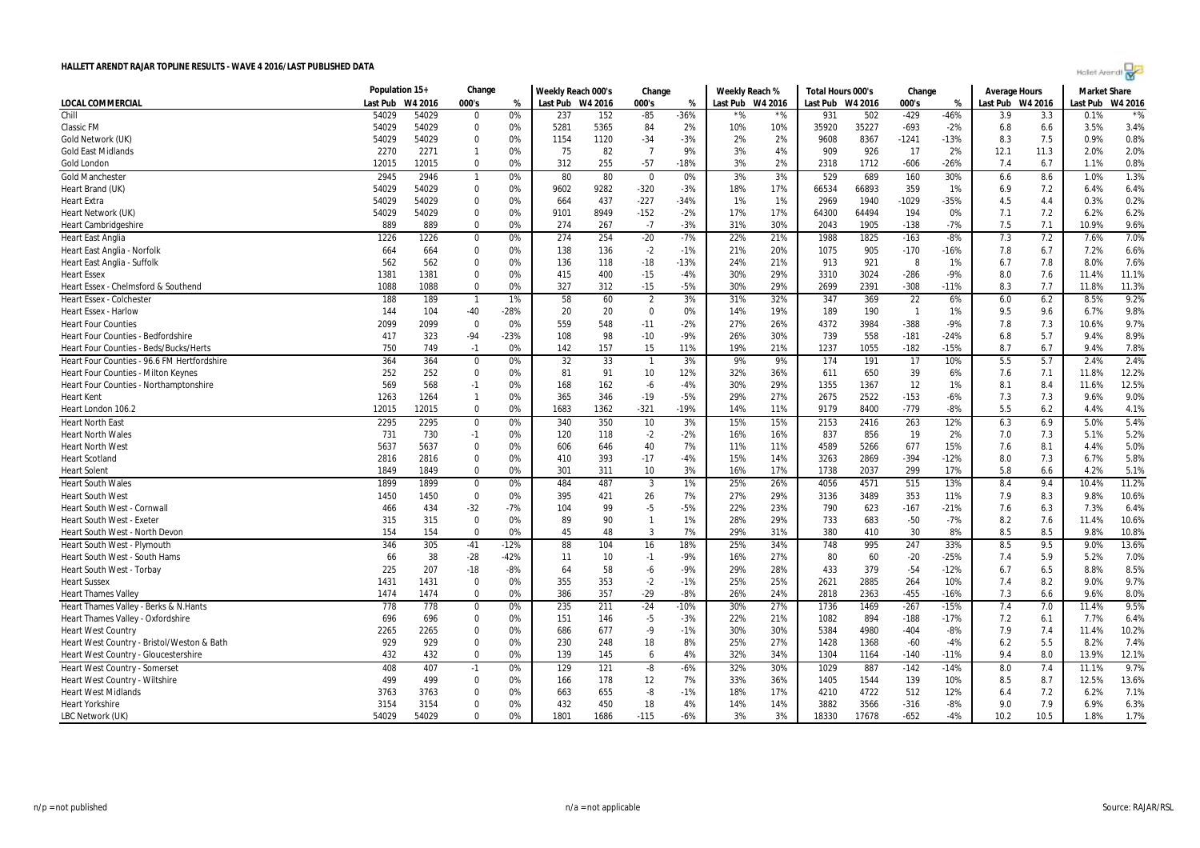| Hollet Arendi |  |  |  |
|---------------|--|--|--|
|               |  |  |  |

|                                              | Population 15+ |              | Change           |          | Weekly Reach 000's |            | Change         |             | Weekly Reach % |                  | Total Hours 000's |              | Change          |               | <b>Average Hours</b> |            | <b>Market Share</b> |              |
|----------------------------------------------|----------------|--------------|------------------|----------|--------------------|------------|----------------|-------------|----------------|------------------|-------------------|--------------|-----------------|---------------|----------------------|------------|---------------------|--------------|
| LOCAL COMMERCIAL                             | Last Pub       | W4 2016      | 000's            | %        | Last Pub W4 2016   |            | 000's          | %           |                | Last Pub W4 2016 | Last Pub W4 2016  |              | 000's           | %             | Last Pub W4 2016     |            | Last Pub            | W4 2016      |
| Chill                                        | 54029          | 54029        | $\Omega$         | 0%       | 237                | 152        | $-85$          | $-36%$      | $*$ %          | $*$ %            | 931               | 502          | $-429$          | $-46%$        | 3.9                  | 3.3        | 0.1%                | $*$ %        |
| <b>Classic FM</b>                            | 54029          | 54029        | $\Omega$         | 0%       | 5281               | 5365       | 84             | 2%          | 10%            | 10%              | 35920             | 35227        | $-693$          | $-2%$         | 6.8                  | 6.6        | 3.5%                | 3.4%         |
| Gold Network (UK)                            | 54029          | 54029        | $\Omega$         | 0%       | 1154               | 1120       | $-34$          | $-3%$       | 2%             | 2%               | 9608              | 8367         | -1241           | $-13%$        | 8.3                  | 7.5        | 0.9%                | 0.8%         |
| <b>Gold East Midlands</b>                    | 2270           | 2271         | $\mathbf{1}$     | 0%       | 75                 | 82         | $\overline{7}$ | 9%          | 3%             | 4%               | 909               | 926          | 17              | 2%            | 12.1                 | 11.3       | 2.0%                | 2.0%         |
| Gold London                                  | 12015          | 12015        | $\mathbf 0$      | 0%       | 312                | 255        | $-57$          | $-18%$      | 3%             | 2%               | 2318              | 1712         | $-606$          | $-26%$        | 7.4                  | 6.7        | 1.1%                | 0.8%         |
| <b>Gold Manchester</b>                       | 2945           | 2946         | $\mathbf{1}$     | 0%       | 80                 | 80         | $\mathbf 0$    | 0%          | 3%             | 3%               | 529               | 689          | 160             | 30%           | 6.6                  | 8.6        | 1.0%                | 1.3%         |
| Heart Brand (UK)                             | 54029          | 54029        | $\Omega$         | 0%       | 9602               | 9282       | $-320$         | $-3%$       | 18%            | 17%              | 66534             | 66893        | 359             | 1%            | 6.9                  | 7.2        | 6.4%                | 6.4%         |
| <b>Heart Extra</b>                           | 54029          | 54029        | $\Omega$         | 0%       | 664                | 437        | $-227$         | $-34%$      | 1%             | 1%               | 2969              | 1940         | $-1029$         | $-35%$        | 4.5                  | 4.4        | 0.3%                | 0.2%         |
| Heart Network (UK)                           | 54029          | 54029        | $\mathbf 0$      | 0%       | 9101               | 8949       | $-152$         | $-2%$       | 17%            | 17%              | 64300             | 64494        | 194             | 0%            | 7.1                  | 7.2        | 6.2%                | 6.2%         |
| <b>Heart Cambridgeshire</b>                  | 889            | 889          | $\Omega$         | 0%       | 274                | 267        | $-7$           | $-3%$       | 31%            | 30%              | 2043              | 1905         | $-138$          | $-7%$         | 7.5                  | 7.1        | 10.9%               | 9.6%         |
| <b>Heart East Anglia</b>                     | 1226           | 1226         | 0                | 0%       | 274                | 254        | $-20$          | $-7%$       | 22%            | 21%              | 1988              | 1825         | $-163$          | $-8%$         | 7.3                  | 7.2        | 7.6%                | 7.0%         |
| Heart East Anglia - Norfolk                  | 664            | 664          | $\mathbf 0$      | 0%       | 138                | 136        | $-2$           | $-1%$       | 21%            | 20%              | 1075              | 905          | $-170$          | $-16%$        | 7.8                  | 6.7        | 7.2%                | 6.6%         |
| Heart East Anglia - Suffolk                  | 562            | 562          | $\Omega$         | 0%       | 136                | 118        | $-18$          | $-13%$      | 24%            | 21%              | 913               | 921          | 8               | 1%            | 6.7                  | 7.8        | 8.0%                | 7.6%         |
| <b>Heart Essex</b>                           | 1381           | 1381         | $\Omega$         | 0%       | 415                | 400        | $-15$          | $-4%$       | 30%            | 29%              | 3310              | 3024         | $-286$          | $-9%$         | 8.0                  | 7.6        | 11.4%               | 11.1%        |
| Heart Essex - Chelmsford & Southend          | 1088           | 1088         | $\Omega$         | 0%       | 327                | 312        | $-15$          | $-5%$       | 30%            | 29%              | 2699              | 2391         | $-308$          | $-11%$        | 8.3                  | 7.7        | 11.8%               | 11.3%        |
| Heart Essex - Colchester                     | 188            | 189          | $\mathbf{1}$     | 1%       | 58                 | 60         | $\overline{2}$ | 3%          | 31%            | 32%              | 347               | 369          | $\overline{22}$ | 6%            | 6.0                  | 6.2        | 8.5%                | 9.2%         |
| <b>Heart Essex - Harlow</b>                  | 144            | 104          | $-40$            | $-28%$   | 20                 | 20         | $\Omega$       | 0%          | 14%            | 19%              | 189               | 190          | $\overline{1}$  | 1%            | 9.5                  | 9.6        | 6.7%                | 9.8%         |
| <b>Heart Four Counties</b>                   | 2099           | 2099         | 0                | 0%       | 559                | 548        | $-11$          | $-2%$       | 27%            | 26%              | 4372              | 3984         | $-388$          | $-9%$         | 7.8                  | 7.3        | 10.6%               | 9.7%         |
| Heart Four Counties - Bedfordshire           | 417            | 323          | -94              | $-23%$   | 108                | 98         | $-10$          | $-9%$       | 26%            | 30%              | 739               | 558          | $-181$          | $-24%$        | 6.8                  | 5.7        | 9.4%                | 8.9%         |
| Heart Four Counties - Beds/Bucks/Herts       | 750            | 749          | $-1$             | 0%       | 142                | 157        | 15             | 11%         | 19%            | 21%              | 1237              | 1055         | $-182$          | -15%          | 8.7                  | 6.7        | 9.4%                | 7.8%         |
| Heart Four Counties - 96.6 FM Hertfordshire  | 364            | 364          | $\mathbf 0$      | 0%       | 32                 | 33         | $\overline{1}$ | 3%          | 9%             | 9%               | 174               | 191          | 17              | 10%           | 5.5                  | 5.7        | 2.4%                | 2.4%         |
| Heart Four Counties - Milton Keynes          | 252            | 252          | $\Omega$         | 0%       | 81                 | 91         | 10             | 12%         | 32%            | 36%              | 611               | 650          | 39              | 6%            | 7.6                  | 7.1        | 11.8%               | 12.2%        |
| Heart Four Counties - Northamptonshire       | 569            | 568          | $-1$             | 0%       | 168                | 162        | $-6$           | $-4%$       | 30%            | 29%              | 1355              | 1367         | 12              | 1%            | 8.1                  | 8.4        | 11.6%               | 12.5%        |
| <b>Heart Kent</b>                            | 1263           | 1264         | $\mathbf{1}$     | 0%       | 365                | 346        | $-19$          | $-5%$       | 29%            | 27%              | 2675              | 2522         | $-153$          | $-6%$         | 7.3                  | 7.3        | 9.6%                | 9.0%         |
| Heart London 106.2                           | 12015          | 12015        | $\Omega$         | 0%       | 1683               | 1362       | $-321$         | $-19%$      | 14%            | 11%              | 9179              | 8400         | $-779$          | $-8%$         | 5.5                  | 6.2        | 4.4%                | 4.1%         |
|                                              | 2295           |              | $\mathbf 0$      |          |                    |            |                |             |                | 15%              |                   |              |                 | 12%           |                      |            | 5.0%                | 5.4%         |
| <b>Heart North East</b>                      |                | 2295         |                  | 0%       | 340                | 350        | 10             | 3%          | 15%            |                  | 2153              | 2416         | 263             |               | 6.3                  | 6.9        |                     |              |
| <b>Heart North Wales</b>                     | 731            | 730<br>5637  | $-1$<br>$\Omega$ | 0%       | 120                | 118        | $-2$<br>40     | $-2%$<br>7% | 16%            | 16%              | 837<br>4589       | 856          | 19              | 2%<br>15%     | 7.0                  | 7.3<br>8.1 | 5.1%<br>4.4%        | 5.2%         |
| <b>Heart North West</b>                      | 5637           |              | $\Omega$         | 0%       | 606                | 646        |                |             | 11%            | 11%              |                   | 5266         | 677             |               | 7.6                  |            |                     | 5.0%<br>5.8% |
| <b>Heart Scotland</b><br><b>Heart Solent</b> | 2816<br>1849   | 2816<br>1849 | $\Omega$         | 0%<br>0% | 410<br>301         | 393<br>311 | $-17$<br>10    | $-4%$<br>3% | 15%<br>16%     | 14%<br>17%       | 3263<br>1738      | 2869<br>2037 | $-394$<br>299   | $-12%$<br>17% | 8.0<br>5.8           | 7.3<br>6.6 | 6.7%<br>4.2%        | 5.1%         |
|                                              |                |              |                  |          |                    |            |                |             |                |                  |                   |              |                 |               |                      |            |                     |              |
| <b>Heart South Wales</b>                     | 1899           | 1899         | $\mathbf 0$      | 0%       | 484                | 487        | $\overline{3}$ | 1%          | 25%            | 26%              | 4056              | 4571         | 515             | 13%           | 8.4                  | 9.4        | 10.4%               | 11.2%        |
| <b>Heart South West</b>                      | 1450           | 1450         | $\Omega$         | 0%       | 395                | 421        | 26             | 7%          | 27%            | 29%              | 3136              | 3489         | 353             | 11%           | 7.9                  | 8.3        | 9.8%                | 10.6%        |
| Heart South West - Cornwal                   | 466            | 434          | $-32$            | $-7%$    | 104                | 99         | -5             | $-5%$       | 22%            | 23%              | 790               | 623          | $-167$          | $-21%$        | 7.6                  | 6.3        | 7.3%                | 6.4%         |
| <b>Heart South West - Exeter</b>             | 315            | 315          | $\mathbf 0$      | 0%       | 89                 | 90         | $\mathbf{1}$   | 1%          | 28%            | 29%              | 733               | 683          | $-50$           | $-7%$         | 8.2                  | 7.6        | 11.4%               | 10.6%        |
| Heart South West - North Devon               | 154            | 154          | $\Omega$         | 0%       | 45                 | 48         | 3              | 7%          | 29%            | 31%              | 380               | 410          | 30              | 8%            | 8.5                  | 8.5        | 9.8%                | 10.8%        |
| Heart South West - Plymouth                  | 346            | 305          | $-41$            | $-12%$   | 88                 | 104        | 16             | 18%         | 25%            | 34%              | 748               | 995          | 247             | 33%           | 8.5                  | 9.5        | 9.0%                | 13.6%        |
| Heart South West - South Hams                | 66             | 38           | $-28$            | $-42%$   | 11                 | 10         | $-1$           | $-9%$       | 16%            | 27%              | 80                | 60           | $-20$           | $-25%$        | 7.4                  | 5.9        | 5.2%                | 7.0%         |
| Heart South West - Torbay                    | 225            | 207          | $-18$            | $-8%$    | 64                 | 58         | $-6$           | $-9%$       | 29%            | 28%              | 433               | 379          | $-54$           | $-12%$        | 6.7                  | 6.5        | 8.8%                | 8.5%         |
| <b>Heart Sussex</b>                          | 1431           | 1431         | $\Omega$         | 0%       | 355                | 353        | $-2$           | $-1%$       | 25%            | 25%              | 2621              | 2885         | 264             | 10%           | 7.4                  | 8.2        | 9.0%                | 9.7%         |
| <b>Heart Thames Valley</b>                   | 1474           | 1474         | $\Omega$         | 0%       | 386                | 357        | $-29$          | $-8%$       | 26%            | 24%              | 2818              | 2363         | $-455$          | $-16%$        | 7.3                  | 6.6        | 9.6%                | 8.0%         |
| Heart Thames Valley - Berks & N.Hants        | 778            | 778          | $\mathbf 0$      | 0%       | 235                | 211        | $-24$          | $-10%$      | 30%            | 27%              | 1736              | 1469         | $-267$          | $-15%$        | 7.4                  | 7.0        | 11.4%               | 9.5%         |
| Heart Thames Valley - Oxfordshire            | 696            | 696          | $\mathbf 0$      | 0%       | 151                | 146        | -5             | $-3%$       | 22%            | 21%              | 1082              | 894          | $-188$          | $-17%$        | 7.2                  | 6.1        | 7.7%                | 6.4%         |
| <b>Heart West Country</b>                    | 2265           | 2265         | $\Omega$         | 0%       | 686                | 677        | -9             | $-1%$       | 30%            | 30%              | 5384              | 4980         | $-404$          | $-8%$         | 7.9                  | 7.4        | 11.4%               | 10.2%        |
| Heart West Country - Bristol/Weston & Bath   | 929            | 929          | $\Omega$         | 0%       | 230                | 248        | 18             | 8%          | 25%            | 27%              | 1428              | 1368         | $-60$           | $-4%$         | 6.2                  | 5.5        | 8.2%                | 7.4%         |
| Heart West Country - Gloucestershire         | 432            | 432          | $\Omega$         | 0%       | 139                | 145        | 6              | 4%          | 32%            | 34%              | 1304              | 1164         | $-140$          | $-11%$        | 9.4                  | 8.0        | 13.9%               | 12.1%        |
| <b>Heart West Country - Somerset</b>         | 408            | 407          | $-1$             | 0%       | 129                | 121        | $-8$           | $-6%$       | 32%            | 30%              | 1029              | 887          | $-142$          | $-14%$        | 8.0                  | 7.4        | 11.1%               | 9.7%         |
| Heart West Country - Wiltshire               | 499            | 499          | $\Omega$         | 0%       | 166                | 178        | 12             | 7%          | 33%            | 36%              | 1405              | 1544         | 139             | 10%           | 8.5                  | 8.7        | 12.5%               | 13.6%        |
| <b>Heart West Midlands</b>                   | 3763           | 3763         | $\Omega$         | 0%       | 663                | 655        | -8             | $-1%$       | 18%            | 17%              | 4210              | 4722         | 512             | 12%           | 6.4                  | 7.2        | 6.2%                | 7.1%         |
| <b>Heart Yorkshire</b>                       | 3154           | 3154         | $\Omega$         | 0%       | 432                | 450        | 18             | 4%          | 14%            | 14%              | 3882              | 3566         | $-316$          | $-8%$         | 9.0                  | 7.9        | 6.9%                | 6.3%         |
| LBC Network (UK)                             | 54029          | 54029        | $\Omega$         | 0%       | 1801               | 1686       | $-115$         | $-6%$       | 3%             | 3%               | 18330             | 17678        | $-652$          | $-4%$         | 10.2                 | 10.5       | 1.8%                | 1.7%         |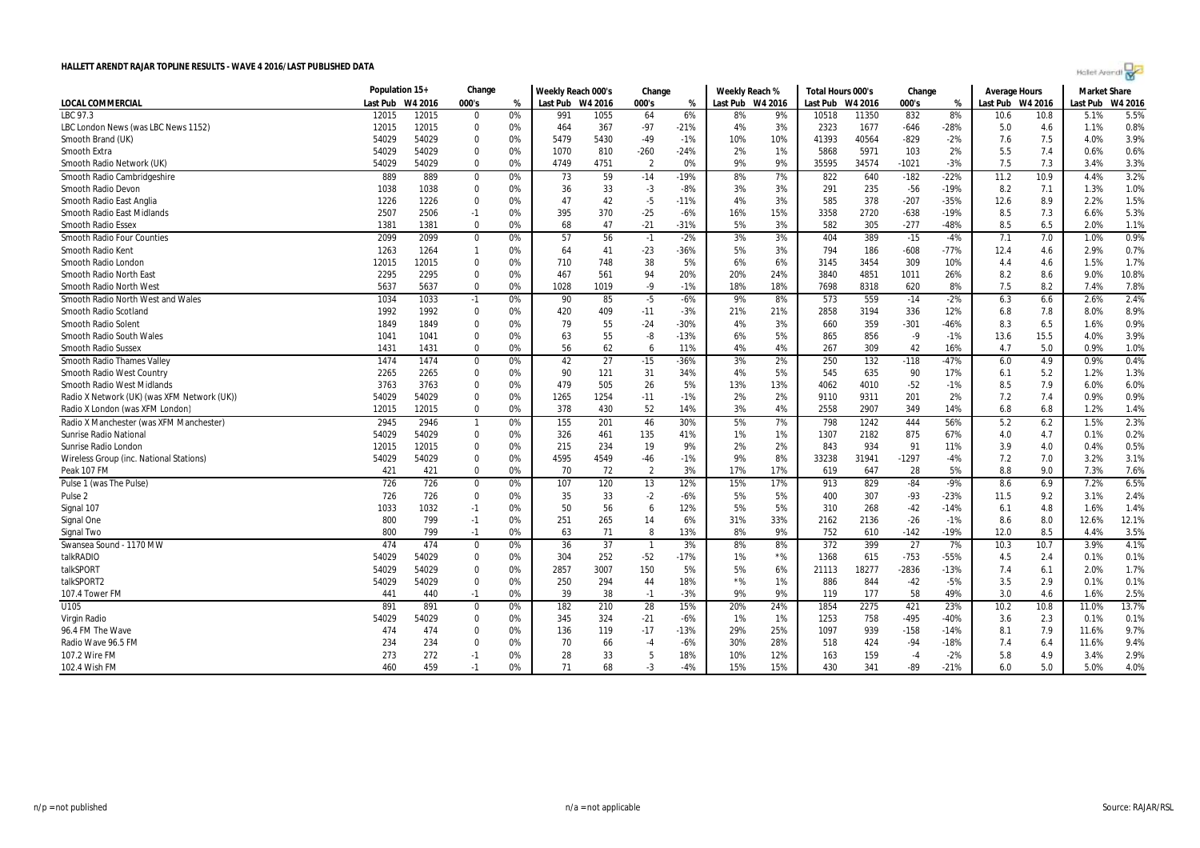| Hallet Arendt |  |  |
|---------------|--|--|
|---------------|--|--|

|                                             | Population 15+ |         | Change           |    | Weekly Reach 000's |      | Change         |        | Weekly Reach %   |       | Total Hours 000's |         | Change          |        | Average Hours    |      | <b>Market Share</b> |         |
|---------------------------------------------|----------------|---------|------------------|----|--------------------|------|----------------|--------|------------------|-------|-------------------|---------|-----------------|--------|------------------|------|---------------------|---------|
| <b>LOCAL COMMERCIAL</b>                     | Last Pub       | W4 2016 | 000's            | %  | Last Pub W4 2016   |      | 000's          | %      | Last Pub W4 2016 |       | Last Pub          | W4 2016 | 000's           | %      | Last Pub W4 2016 |      | Last Pub            | W4 2016 |
| LBC 97.3                                    | 12015          | 12015   | $\Omega$         | 0% | 991                | 1055 | 64             | 6%     | 8%               | 9%    | 10518             | 11350   | 832             | 8%     | 10.6             | 10.8 | 5.1%                | 5.5%    |
| LBC London News (was LBC News 1152)         | 12015          | 12015   | $\mathbf 0$      | 0% | 464                | 367  | $-97$          | $-21%$ | 4%               | 3%    | 2323              | 1677    | $-646$          | $-28%$ | 5.0              | 4.6  | 1.1%                | 0.8%    |
| Smooth Brand (UK)                           | 54029          | 54029   | $\Omega$         | 0% | 5479               | 5430 | $-49$          | $-1%$  | 10%              | 10%   | 41393             | 40564   | $-829$          | $-2%$  | 7.6              | 7.5  | 4.0%                | 3.9%    |
| <b>Smooth Extra</b>                         | 54029          | 54029   | $\Omega$         | 0% | 1070               | 810  | $-260$         | $-24%$ | 2%               | 1%    | 5868              | 5971    | 103             | 2%     | 5.5              | 7.4  | 0.6%                | 0.6%    |
| Smooth Radio Network (UK)                   | 54029          | 54029   | $\Omega$         | 0% | 4749               | 4751 | $\overline{2}$ | 0%     | 9%               | 9%    | 35595             | 34574   | -1021           | $-3%$  | 7.5              | 7.3  | 3.4%                | 3.3%    |
| Smooth Radio Cambridgeshire                 | 889            | 889     | $\Omega$         | 0% | 73                 | 59   | $-14$          | $-19%$ | 8%               | 7%    | 822               | 640     | $-182$          | $-22%$ | 11.2             | 10.9 | 4.4%                | 3.2%    |
| Smooth Radio Devon                          | 1038           | 1038    | $\boldsymbol{0}$ | 0% | 36                 | 33   | $-3$           | $-8%$  | 3%               | 3%    | 291               | 235     | $-56$           | $-19%$ | 8.2              | 7.1  | 1.3%                | 1.0%    |
| Smooth Radio East Anglia                    | 1226           | 1226    | $\Omega$         | 0% | 47                 | 42   | $-5$           | $-11%$ | 4%               | 3%    | 585               | 378     | $-207$          | $-35%$ | 12.6             | 8.9  | 2.2%                | 1.5%    |
| Smooth Radio East Midlands                  | 2507           | 2506    | $-1$             | 0% | 395                | 370  | $-25$          | $-6%$  | 16%              | 15%   | 3358              | 2720    | $-638$          | $-19%$ | 8.5              | 7.3  | 6.6%                | 5.3%    |
| <b>Smooth Radio Essex</b>                   | 1381           | 1381    | $\Omega$         | 0% | 68                 | 47   | $-21$          | $-31%$ | 5%               | 3%    | 582               | 305     | $-277$          | $-48%$ | 8.5              | 6.5  | 2.0%                | 1.1%    |
| <b>Smooth Radio Four Counties</b>           | 2099           | 2099    | $\mathbf 0$      | 0% | 57                 | 56   | $-1$           | $-2%$  | 3%               | 3%    | 404               | 389     | $-15$           | $-4%$  | 7.1              | 7.0  | 1.0%                | 0.9%    |
| Smooth Radio Kent                           | 1263           | 1264    | $\overline{1}$   | 0% | 64                 | 41   | $-23$          | $-36%$ | 5%               | 3%    | 794               | 186     | $-608$          | $-77%$ | 12.4             | 4.6  | 2.9%                | 0.7%    |
| Smooth Radio London                         | 12015          | 12015   | $\Omega$         | 0% | 710                | 748  | 38             | 5%     | 6%               | 6%    | 3145              | 3454    | 309             | 10%    | 4.4              | 4.6  | 1.5%                | 1.7%    |
| <b>Smooth Radio North East</b>              | 2295           | 2295    | $\Omega$         | 0% | 467                | 561  | 94             | 20%    | 20%              | 24%   | 3840              | 4851    | 1011            | 26%    | 8.2              | 8.6  | 9.0%                | 10.8%   |
| <b>Smooth Radio North West</b>              | 5637           | 5637    | $\Omega$         | 0% | 1028               | 1019 | $-9$           | $-1%$  | 18%              | 18%   | 7698              | 8318    | 620             | 8%     | 7.5              | 8.2  | 7.4%                | 7.8%    |
| Smooth Radio North West and Wales           | 1034           | 1033    | $-1$             | 0% | 90                 | 85   | $-5$           | $-6%$  | 9%               | 8%    | 573               | 559     | $-14$           | $-2%$  | 6.3              | 6.6  | 2.6%                | 2.4%    |
| Smooth Radio Scotland                       | 1992           | 1992    | $\mathbf 0$      | 0% | 420                | 409  | $-11$          | $-3%$  | 21%              | 21%   | 2858              | 3194    | 336             | 12%    | 6.8              | 7.8  | 8.0%                | 8.9%    |
| Smooth Radio Solent                         | 1849           | 1849    | $\Omega$         | 0% | 79                 | 55   | $-24$          | $-30%$ | 4%               | 3%    | 660               | 359     | $-301$          | $-46%$ | 8.3              | 6.5  | 1.6%                | 0.9%    |
| Smooth Radio South Wales                    | 1041           | 1041    | $\Omega$         | 0% | 63                 | 55   | -8             | $-13%$ | 6%               | 5%    | 865               | 856     | $-9$            | $-1%$  | 13.6             | 15.5 | 4.0%                | 3.9%    |
| <b>Smooth Radio Sussex</b>                  | 1431           | 1431    | $\Omega$         | 0% | 56                 | 62   | 6              | 11%    | 4%               | 4%    | 267               | 309     | 42              | 16%    | 4.7              | 5.0  | 0.9%                | 1.0%    |
| <b>Smooth Radio Thames Valley</b>           | 1474           | 1474    | $\mathbf 0$      | 0% | 42                 | 27   | $-15$          | $-36%$ | 3%               | 2%    | 250               | 132     | $-118$          | $-47%$ | 6.0              | 4.9  | 0.9%                | 0.4%    |
| Smooth Radio West Country                   | 2265           | 2265    | $\Omega$         | 0% | 90                 | 121  | 31             | 34%    | 4%               | 5%    | 545               | 635     | 90              | 17%    | 6.1              | 5.2  | 1.2%                | 1.3%    |
| <b>Smooth Radio West Midlands</b>           | 3763           | 3763    | $\Omega$         | 0% | 479                | 505  | 26             | 5%     | 13%              | 13%   | 4062              | 4010    | $-52$           | $-1%$  | 8.5              | 7.9  | 6.0%                | 6.0%    |
| Radio X Network (UK) (was XFM Network (UK)) | 54029          | 54029   | $\mathbf 0$      | 0% | 1265               | 1254 | $-11$          | $-1%$  | 2%               | 2%    | 9110              | 9311    | 201             | 2%     | 7.2              | 7.4  | 0.9%                | 0.9%    |
| Radio X London (was XFM London)             | 12015          | 12015   | $\Omega$         | 0% | 378                | 430  | 52             | 14%    | 3%               | 4%    | 2558              | 2907    | 349             | 14%    | 6.8              | 6.8  | 1.2%                | 1.4%    |
| Radio X Manchester (was XFM Manchester)     | 2945           | 2946    | $\mathbf{1}$     | 0% | 155                | 201  | 46             | 30%    | 5%               | 7%    | 798               | 1242    | 444             | 56%    | 5.2              | 6.2  | 1.5%                | 2.3%    |
| <b>Sunrise Radio National</b>               | 54029          | 54029   | $\mathbf 0$      | 0% | 326                | 461  | 135            | 41%    | 1%               | 1%    | 1307              | 2182    | 875             | 67%    | 4.0              | 4.7  | 0.1%                | 0.2%    |
| Sunrise Radio London                        | 12015          | 12015   | $\mathbf 0$      | 0% | 215                | 234  | 19             | 9%     | 2%               | 2%    | 843               | 934     | 91              | 11%    | 3.9              | 4.0  | 0.4%                | 0.5%    |
| Wireless Group (inc. National Stations)     | 54029          | 54029   | $\Omega$         | 0% | 4595               | 4549 | $-46$          | $-1%$  | 9%               | 8%    | 33238             | 31941   | $-1297$         | $-4%$  | 7.2              | 7.0  | 3.2%                | 3.1%    |
| Peak 107 FM                                 | 421            | 421     | $\Omega$         | 0% | 70                 | 72   | $\overline{2}$ | 3%     | 17%              | 17%   | 619               | 647     | 28              | 5%     | 8.8              | 9.0  | 7.3%                | 7.6%    |
| Pulse 1 (was The Pulse)                     | 726            | 726     | $\Omega$         | 0% | 107                | 120  | 13             | 12%    | 15%              | 17%   | 913               | 829     | $-84$           | $-9%$  | 8.6              | 6.9  | 7.2%                | 6.5%    |
| Pulse <sub>2</sub>                          | 726            | 726     | $\Omega$         | 0% | -35                | 33   | $-2$           | $-6%$  | 5%               | 5%    | 400               | 307     | $-93$           | $-23%$ | 11.5             | 9.2  | 3.1%                | 2.4%    |
| Signal 107                                  | 1033           | 1032    | $-1$             | 0% | 50                 | 56   | 6              | 12%    | 5%               | 5%    | 310               | 268     | $-42$           | $-14%$ | 6.1              | 4.8  | 1.6%                | 1.4%    |
| Signal One                                  | 800            | 799     | $-1$             | 0% | 251                | 265  | 14             | 6%     | 31%              | 33%   | 2162              | 2136    | $-26$           | $-1%$  | 8.6              | 8.0  | 12.6%               | 12.1%   |
| Signal Two                                  | 800            | 799     | $-1$             | 0% | 63                 | 71   | 8              | 13%    | 8%               | 9%    | 752               | 610     | $-142$          | $-19%$ | 12.0             | 8.5  | 4.4%                | 3.5%    |
| Swansea Sound - 1170 MW                     | 474            | 474     | $\boldsymbol{0}$ | 0% | 36                 | 37   | $\overline{1}$ | 3%     | 8%               | 8%    | 372               | 399     | $\overline{27}$ | 7%     | 10.3             | 10.7 | 3.9%                | 4.1%    |
| talkRADIO                                   | 54029          | 54029   | $\mathbf 0$      | 0% | 304                | 252  | $-52$          | $-17%$ | 1%               | $*$ % | 1368              | 615     | $-753$          | $-55%$ | 4.5              | 2.4  | 0.1%                | 0.1%    |
| talkSPORT                                   | 54029          | 54029   | $\Omega$         | 0% | 2857               | 3007 | 150            | 5%     | 5%               | 6%    | 21113             | 18277   | $-2836$         | $-13%$ | 7.4              | 6.1  | 2.0%                | 1.7%    |
| talkSPORT2                                  | 54029          | 54029   | $\mathbf 0$      | 0% | 250                | 294  | 44             | 18%    | $*$ %            | 1%    | 886               | 844     | $-42$           | $-5%$  | 3.5              | 2.9  | 0.1%                | 0.1%    |
| 107.4 Tower FM                              | 441            | 440     | $-1$             | 0% | 39                 | 38   | $-1$           | $-3%$  | 9%               | 9%    | 119               | 177     | 58              | 49%    | 3.0              | 4.6  | 1.6%                | 2.5%    |
| U105                                        | 891            | 891     | $\mathbf 0$      | 0% | 182                | 210  | 28             | 15%    | 20%              | 24%   | 1854              | 2275    | 421             | 23%    | 10.2             | 10.8 | 11.0%               | 13.7%   |
| Virgin Radio                                | 54029          | 54029   | $\mathbf 0$      | 0% | 345                | 324  | $-21$          | $-6%$  | 1%               | 1%    | 1253              | 758     | $-495$          | -40%   | 3.6              | 2.3  | 0.1%                | 0.1%    |
| 96.4 FM The Wave                            | 474            | 474     | $\mathbf 0$      | 0% | 136                | 119  | $-17$          | $-13%$ | 29%              | 25%   | 1097              | 939     | $-158$          | $-14%$ | 8.1              | 7.9  | 11.6%               | 9.7%    |
| Radio Wave 96.5 FM                          | 234            | 234     | $\Omega$         | 0% | 70                 | 66   | $-4$           | $-6%$  | 30%              | 28%   | 518               | 424     | $-94$           | $-18%$ | 7.4              | 6.4  | 11.6%               | 9.4%    |
| 107.2 Wire FM                               | 273            | 272     | $-1$             | 0% | 28                 | 33   | 5              | 18%    | 10%              | 12%   | 163               | 159     | $-4$            | $-2%$  | 5.8              | 4.9  | 3.4%                | 2.9%    |
| 102.4 Wish FM                               | 460            | 459     | $-1$             | 0% | 71                 | 68   | $-3$           | $-4%$  | 15%              | 15%   | 430               | 341     | -89             | $-21%$ | 6.0              | 5.0  | 5.0%                | 4.0%    |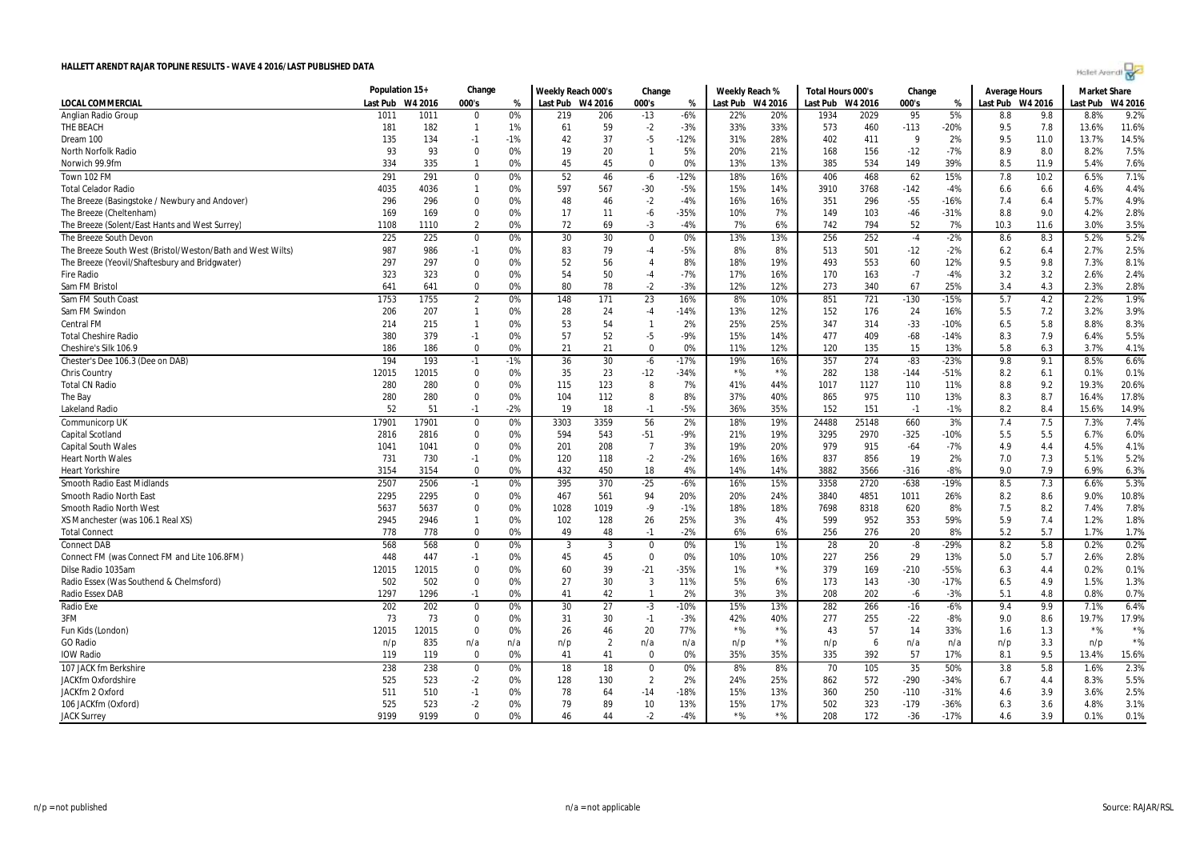| Holet Arendi |  |
|--------------|--|
|--------------|--|

|                                                            | Population 15+ |         | Change           |       | Weekly Reach 000's |                | Change         |        | Weekly Reach % |                  | Total Hours 000's |       | Change |        | <b>Average Hours</b> |      | <b>Market Share</b> |         |
|------------------------------------------------------------|----------------|---------|------------------|-------|--------------------|----------------|----------------|--------|----------------|------------------|-------------------|-------|--------|--------|----------------------|------|---------------------|---------|
| LOCAL COMMERCIAL                                           | Last Pub       | W4 2016 | 000's            | %     | Last Pub W4 2016   |                | 000's          | %      |                | Last Pub W4 2016 | Last Pub W4 2016  |       | 000's  | %      | Last Pub W4 2016     |      | Last Pub            | W4 2016 |
| Anglian Radio Group                                        | 101            | 1011    | $\Omega$         | 0%    | 219                | 206            | $-13$          | $-6%$  | 22%            | 20%              | 1934              | 2029  | 95     | 5%     | 8.8                  | 9.8  | 8.8%                | 9.2%    |
| THE BEACH                                                  | 181            | 182     | $\mathbf{1}$     | 1%    | 61                 | 59             | $-2$           | $-3%$  | 33%            | 33%              | 573               | 460   | $-113$ | -20%   | 9.5                  | 7.8  | 13.6%               | 11.6%   |
| Dream 100                                                  | 135            | 134     | $-1$             | $-1%$ | 42                 | 37             | $-5$           | $-12%$ | 31%            | 28%              | 402               | 411   | 9      | 2%     | 9.5                  | 11.0 | 13.7%               | 14.5%   |
| North Norfolk Radio                                        | 93             | 93      | $\mathbf 0$      | 0%    | 19                 | 20             | $\mathbf{1}$   | 5%     | 20%            | 21%              | 168               | 156   | $-12$  | $-7%$  | 8.9                  | 8.0  | 8.2%                | 7.5%    |
| Norwich 99.9fm                                             | 334            | 335     | $\mathbf{1}$     | 0%    | 45                 | 45             | $\mathbf 0$    | 0%     | 13%            | 13%              | 385               | 534   | 149    | 39%    | 8.5                  | 11.9 | 5.4%                | 7.6%    |
| Town 102 FM                                                | 291            | 291     | $\mathbf 0$      | 0%    | 52                 | 46             | -6             | $-12%$ | 18%            | 16%              | 406               | 468   | 62     | 15%    | 7.8                  | 10.2 | 6.5%                | 7.1%    |
| <b>Total Celador Radio</b>                                 | 4035           | 4036    | $\mathbf{1}$     | 0%    | 597                | 567            | $-30$          | $-5%$  | 15%            | 14%              | 3910              | 3768  | $-142$ | $-4%$  | 6.6                  | 6.6  | 4.6%                | 4.4%    |
| The Breeze (Basingstoke / Newbury and Andover)             | 296            | 296     | $\mathbf 0$      | 0%    | 48                 | 46             | $-2$           | $-4%$  | 16%            | 16%              | 351               | 296   | $-55$  | $-16%$ | 7.4                  | 6.4  | 5.7%                | 4.9%    |
| The Breeze (Cheltenham)                                    | 169            | 169     | $\mathbf 0$      | 0%    | 17                 | 11             | -6             | $-35%$ | 10%            | 7%               | 149               | 103   | $-46$  | $-31%$ | 8.8                  | 9.0  | 4.2%                | 2.8%    |
| The Breeze (Solent/East Hants and West Surrey)             | 1108           | 1110    | $\overline{2}$   | 0%    | 72                 | 69             | $-3$           | $-4%$  | 7%             | 6%               | 742               | 794   | 52     | 7%     | 10.3                 | 11.6 | 3.0%                | 3.5%    |
| The Breeze South Devon                                     | 225            | 225     | $\boldsymbol{0}$ | 0%    | 30                 | 30             | $\mathbf 0$    | 0%     | 13%            | 13%              | 256               | 252   | $-4$   | $-2%$  | 8.6                  | 8.3  | 5.2%                | 5.2%    |
| The Breeze South West (Bristol/Weston/Bath and West Wilts) | 987            | 986     | $-1$             | 0%    | 83                 | 79             | -4             | $-5%$  | 8%             | 8%               | 513               | 501   | $-12$  | $-2%$  | 6.2                  | 6.4  | 2.7%                | 2.5%    |
| The Breeze (Yeovil/Shaftesbury and Bridgwater)             | 297            | 297     | 0                | 0%    | 52                 | 56             | 4              | 8%     | 18%            | 19%              | 493               | 553   | 60     | 12%    | 9.5                  | 9.8  | 7.3%                | 8.1%    |
| <b>Fire Radio</b>                                          | 323            | 323     | $\Omega$         | 0%    | 54                 | 50             | $-4$           | $-7%$  | 17%            | 16%              | 170               | 163   | $-7$   | $-4%$  | 3.2                  | 3.2  | 2.6%                | 2.4%    |
| Sam FM Bristol                                             | 641            | 641     | $\Omega$         | 0%    | 80                 | 78             | $-2$           | $-3%$  | 12%            | 12%              | 273               | 340   | 67     | 25%    | 3.4                  | 4.3  | 2.3%                | 2.8%    |
| Sam FM South Coast                                         | 1753           | 1755    | $\overline{2}$   | 0%    | 148                | 171            | 23             | 16%    | 8%             | 10%              | 851               | 721   | $-130$ | $-15%$ | 5.7                  | 4.2  | 2.2%                | 1.9%    |
| Sam FM Swindor                                             | 206            | 207     | $\mathbf{1}$     | 0%    | 28                 | 24             | $-4$           | $-14%$ | 13%            | 12%              | 152               | 176   | 24     | 16%    | 5.5                  | 7.2  | 3.2%                | 3.9%    |
| Central FM                                                 | 214            | 215     | $\mathbf{1}$     | 0%    | 53                 | 54             | $\mathbf{1}$   | 2%     | 25%            | 25%              | 347               | 314   | $-33$  | $-10%$ | 6.5                  | 5.8  | 8.8%                | 8.3%    |
| <b>Total Cheshire Radio</b>                                | 380            | 379     | $-1$             | 0%    | 57                 | 52             | -5             | $-9%$  | 15%            | 14%              | 477               | 409   | $-68$  | $-14%$ | 8.3                  | 7.9  | 6.4%                | 5.5%    |
| Cheshire's Silk 106.9                                      | 186            | 186     | $\Omega$         | 0%    | 21                 | 21             | $\mathbf 0$    | 0%     | 11%            | 12%              | 120               | 135   | 15     | 13%    | 5.8                  | 6.3  | 3.7%                | 4.1%    |
| Chester's Dee 106.3 (Dee on DAB)                           | 194            | 193     | $-1$             | $-1%$ | 36                 | 30             | $-6$           | $-17%$ | 19%            | 16%              | 357               | 274   | $-83$  | $-23%$ | 9.8                  | 9.1  | 8.5%                | 6.6%    |
| Chris Country                                              | 12015          | 12015   | $\Omega$         | 0%    | 35                 | 23             | $-12$          | $-34%$ | $*$ %          | $*$ %            | 282               | 138   | $-144$ | $-51%$ | 8.2                  | 6.1  | 0.1%                | 0.1%    |
| <b>Total CN Radio</b>                                      | 280            | 280     | $\mathbf 0$      | 0%    | 115                | 123            | 8              | 7%     | 41%            | 44%              | 1017              | 1127  | 110    | 11%    | 8.8                  | 9.2  | 19.3%               | 20.6%   |
| The Bay                                                    | 280            | 280     | $\mathbf 0$      | 0%    | 104                | 112            | 8              | 8%     | 37%            | 40%              | 865               | 975   | 110    | 13%    | 8.3                  | 8.7  | 16.4%               | 17.8%   |
| Lakeland Radio                                             | 52             | 51      | $-1$             | $-2%$ | 19                 | 18             | $-1$           | $-5%$  | 36%            | 35%              | 152               | 151   | $-1$   | $-1%$  | 8.2                  | 8.4  | 15.6%               | 14.9%   |
| Communicorp UK                                             | 17901          | 17901   | $\mathbf 0$      | 0%    | 3303               | 3359           | 56             | 2%     | 18%            | 19%              | 24488             | 25148 | 660    | 3%     | 7.4                  | 7.5  | 7.3%                | 7.4%    |
| Capital Scotland                                           | 2816           | 2816    | 0                | 0%    | 594                | 543            | $-51$          | $-9%$  | 21%            | 19%              | 3295              | 2970  | $-325$ | $-10%$ | 5.5                  | 5.5  | 6.7%                | 6.0%    |
| <b>Capital South Wales</b>                                 | 1041           | 1041    | $\Omega$         | 0%    | 201                | 208            | $\overline{7}$ | 3%     | 19%            | 20%              | 979               | 915   | $-64$  | $-7%$  | 4.9                  | 4.4  | 4.5%                | 4.1%    |
| <b>Heart North Wales</b>                                   | 731            | 730     | $-1$             | 0%    | 120                | 118            | $-2$           | $-2%$  | 16%            | 16%              | 837               | 856   | 19     | 2%     | 7.0                  | 7.3  | 5.1%                | 5.2%    |
| <b>Heart Yorkshire</b>                                     | 3154           | 3154    | $\Omega$         | 0%    | 432                | 450            | 18             | 4%     | 14%            | 14%              | 3882              | 3566  | $-316$ | $-8%$  | 9.0                  | 7.9  | 6.9%                | 6.3%    |
| Smooth Radio East Midlands                                 | 2507           | 2506    | $-1$             | 0%    | 395                | 370            | $-25$          | $-6%$  | 16%            | 15%              | 3358              | 2720  | $-638$ | $-19%$ | 8.5                  | 7.3  | 6.6%                | 5.3%    |
| Smooth Radio North East                                    | 2295           | 2295    | $\mathbf 0$      | 0%    | 467                | 561            | 94             | 20%    | 20%            | 24%              | 3840              | 4851  | 1011   | 26%    | 8.2                  | 8.6  | 9.0%                | 10.8%   |
| Smooth Radio North West                                    | 5637           | 5637    | $\mathbf 0$      | 0%    | 1028               | 1019           | $-9$           | $-1%$  | 18%            | 18%              | 7698              | 8318  | 620    | 8%     | 7.5                  | 8.2  | 7.4%                | 7.8%    |
| XS Manchester (was 106.1 Real XS)                          | 2945           | 2946    | $\mathbf{1}$     | 0%    | 102                | 128            | 26             | 25%    | 3%             | 4%               | 599               | 952   | 353    | 59%    | 5.9                  | 7.4  | 1.2%                | 1.8%    |
| <b>Total Connect</b>                                       | 778            | 778     | $\Omega$         | 0%    | 49                 | 48             | $-1$           | $-2%$  | 6%             | 6%               | 256               | 276   | 20     | 8%     | 5.2                  | 5.7  | 1.7%                | 1.7%    |
| <b>Connect DAB</b>                                         | 568            | 568     | $\boldsymbol{0}$ | 0%    | -3                 | 3              | $\mathbf 0$    | 0%     | 1%             | 1%               | 28                | 20    | $-8$   | $-29%$ | 8.2                  | 5.8  | 0.2%                | 0.2%    |
| Connect FM (was Connect FM and Lite 106.8FM)               | 448            | 447     | $-1$             | 0%    | 45                 | 45             | $\mathbf 0$    | 0%     | 10%            | 10%              | 227               | 256   | 29     | 13%    | 5.0                  | 5.7  | 2.6%                | 2.8%    |
| Dilse Radio 1035am                                         | 12015          | 12015   | 0                | 0%    | 60                 | 39             | $-21$          | $-35%$ | 1%             | $*$ %            | 379               | 169   | $-210$ | -55%   | 6.3                  | 4.4  | 0.2%                | 0.1%    |
| Radio Essex (Was Southend & Chelmsford)                    | 502            | 502     | $\mathbf 0$      | 0%    | 27                 | 30             | 3              | 11%    | 5%             | 6%               | 173               | 143   | $-30$  | $-17%$ | 6.5                  | 4.9  | 1.5%                | 1.3%    |
| Radio Essex DAB                                            | 1297           | 1296    | $-1$             | 0%    | 41                 | 42             | $\overline{1}$ | 2%     | 3%             | 3%               | 208               | 202   | $-6$   | $-3%$  | 5.1                  | 4.8  | 0.8%                | 0.7%    |
| Radio Exe                                                  | 202            | 202     | $\mathbf 0$      | 0%    | 30                 | 27             | $-3$           | $-10%$ | 15%            | 13%              | 282               | 266   | $-16$  | $-6%$  | 9.4                  | 9.9  | 7.1%                | 6.4%    |
| 3FM                                                        | 73             | 73      | 0                | 0%    | 31                 | 30             | $-1$           | $-3%$  | 42%            | 40%              | 277               | 255   | $-22$  | $-8%$  | 9.0                  | 8.6  | 19.7%               | 17.9%   |
| Fun Kids (London)                                          | 12015          | 12015   | $\mathbf 0$      | 0%    | 26                 | 46             | 20             | 77%    | $*$ %          | $*$ %            | 43                | 57    | 14     | 33%    | 1.6                  | 1.3  | $*$ %               | $*$ %   |
| <b>GO Radio</b>                                            | n/p            | 835     | n/a              | n/a   | n/p                | $\overline{2}$ | n/a            | n/a    | n/p            | $*$ %            | n/p               | 6     | n/a    | n/a    | n/p                  | 3.3  | n/p                 | $*$ %   |
| <b>IOW Radio</b>                                           | 119            | 119     | $\mathbf 0$      | 0%    | 41                 | 41             | $\mathbf 0$    | 0%     | 35%            | 35%              | 335               | 392   | 57     | 17%    | 8.1                  | 9.5  | 13.4%               | 15.6%   |
| 107 JACK fm Berkshire                                      | 238            | 238     | $\boldsymbol{0}$ | 0%    | 18                 | 18             | $\mathbf 0$    | 0%     | 8%             | 8%               | 70                | 105   | 35     | 50%    | 3.8                  | 5.8  | 1.6%                | 2.3%    |
| JACKfm Oxfordshire                                         | 525            | 523     | $-2$             | 0%    | 128                | 130            | $\overline{2}$ | 2%     | 24%            | 25%              | 862               | 572   | $-290$ | $-34%$ | 6.7                  | 4.4  | 8.3%                | 5.5%    |
| JACKfm 2 Oxford                                            | 511            | 510     | $-1$             | 0%    | 78                 | 64             | $-14$          | -18%   | 15%            | 13%              | 360               | 250   | $-110$ | $-31%$ | 4.6                  | 3.9  | 3.6%                | 2.5%    |
| 106 JACKfm (Oxford)                                        | 525            | 523     | $-2$             | 0%    | 79                 | 89             | 10             | 13%    | 15%            | 17%              | 502               | 323   | $-179$ | $-36%$ | 6.3                  | 3.6  | 4.8%                | 3.1%    |
| <b>JACK Surrey</b>                                         | 9199           | 9199    | $\Omega$         | 0%    | 46                 | 44             | -2             | $-4%$  | $*$ %          | $*$ %            | 208               | 172   | $-36$  | $-17%$ | 4.6                  | 3.9  | 0.1%                | 0.1%    |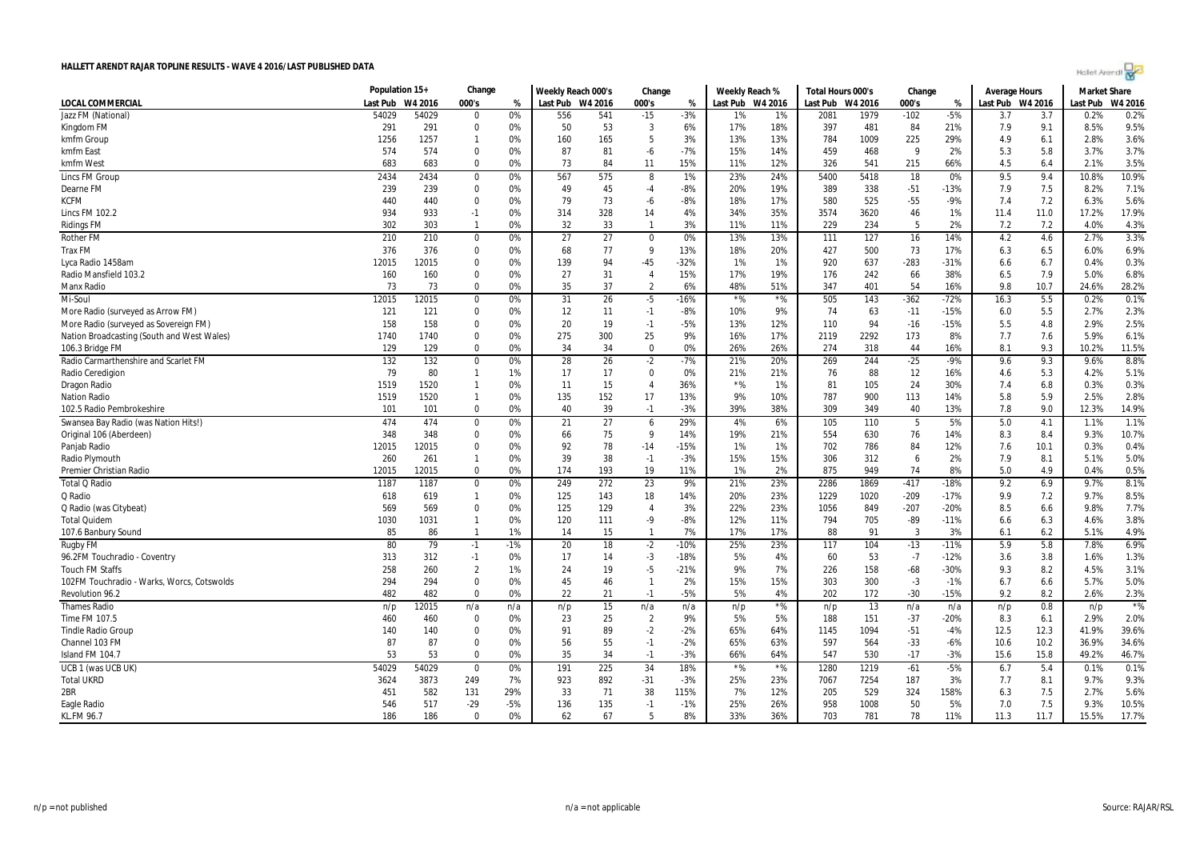| Holet Arendi |  |
|--------------|--|
|--------------|--|

| HALLETT ARENDT RAJAR TOPLINE RESULTS - WAVE 4 2016/LAST PUBLISHED DATA |                |         |                |       |                    |                 |                |        |                |         |                   |         |        |        |                      |                              | Holet Arendt        |         |  |
|------------------------------------------------------------------------|----------------|---------|----------------|-------|--------------------|-----------------|----------------|--------|----------------|---------|-------------------|---------|--------|--------|----------------------|------------------------------|---------------------|---------|--|
|                                                                        | Population 15+ |         | Change         |       | Weekly Reach 000's |                 | Change         |        | Weekly Reach % |         | Total Hours 000's |         | Change |        | <b>Average Hours</b> |                              | <b>Market Share</b> |         |  |
| <b>LOCAL COMMERCIAL</b>                                                | Last Pub       | W4 2016 | 000's          | %     | Last Pub           | W4 2016         | 000's          | %      | Last Pub       | W4 2016 | Last Pub          | W4 2016 | 000's  | %      |                      | Last Pub W4 2016<br>Last Pub |                     | W4 2016 |  |
| Jazz FM (National)                                                     | 54029          | 54029   | $\Omega$       | 0%    | 556                | 541             | $-15$          | $-3%$  | 1%             | 1%      | 2081              | 1979    | $-102$ | $-5%$  | 3.7                  | 3.7                          | 0.2%                | 0.2%    |  |
| Kingdom FM                                                             | 291            | 291     | $\Omega$       | 0%    | 50                 | 53              | 3              | 6%     | 17%            | 18%     | 397               | 481     | 84     | 21%    | 7.9                  | 9.1                          | 8.5%                | 9.5%    |  |
| kmfm Group                                                             | 1256           | 1257    | $\mathbf{1}$   | 0%    | 160                | 165             | 5              | 3%     | 13%            | 13%     | 784               | 1009    | 225    | 29%    | 4.9                  | 6.1                          | 2.8%                | 3.6%    |  |
| kmfm East                                                              | 574            | 574     | $\mathbf 0$    | 0%    | 87                 | 81              | -6             | $-7%$  | 15%            | 14%     | 459               | 468     | 9      | 2%     | 5.3                  | 5.8                          | 3.7%                | 3.7%    |  |
| kmfm West                                                              | 683            | 683     | $\Omega$       | 0%    | 73                 | 84              | 11             | 15%    | 11%            | 12%     | 326               | 541     | 215    | 66%    | 4.5                  | 6.4                          | 2.1%                | 3.5%    |  |
| <b>Lincs FM Group</b>                                                  | 2434           | 2434    | $\mathbf 0$    | 0%    | 567                | 575             | 8              | 1%     | 23%            | 24%     | 5400              | 5418    | 18     | 0%     | 9.5                  | 9.4                          | 10.8%               | 10.9%   |  |
| Dearne FM                                                              | 239            | 239     | $\Omega$       | 0%    | 49                 | 45              | $-4$           | $-8%$  | 20%            | 19%     | 389               | 338     | $-51$  | $-13%$ | 7.9                  | 7.5                          | 8.2%                | 7.1%    |  |
| KCFM                                                                   | 440            | 440     | $\mathbf 0$    | 0%    | 79                 | 73              | -6             | $-8%$  | 18%            | 17%     | 580               | 525     | $-55$  | $-9%$  | 7.4                  | 7.2                          | 6.3%                | 5.6%    |  |
| <b>Lincs FM 102.2</b>                                                  | 934            | 933     | $-1$           | 0%    | 314                | 328             | 14             | 4%     | 34%            | 35%     | 3574              | 3620    | 46     | 1%     | 11.4                 | 11.0                         | 17.2%               | 17.9%   |  |
| <b>Ridings FM</b>                                                      | 302            | 303     | $\mathbf{1}$   | 0%    | 32                 | 33              | $\mathbf{1}$   | 3%     | 11%            | 11%     | 229               | 234     | -5     | 2%     | 7.2                  | 7.2                          | 4.0%                | 4.3%    |  |
| <b>Rother FM</b>                                                       | 210            | 210     | $\mathbf 0$    | 0%    | 27                 | $\overline{27}$ | $\mathbf 0$    | 0%     | 13%            | 13%     | 111               | 127     | 16     | 14%    | 4.2                  | 4.6                          | 2.7%                | 3.3%    |  |
| <b>Trax FM</b>                                                         | 376            | 376     | $\Omega$       | 0%    | 68                 | 77              | 9              | 13%    | 18%            | 20%     | 427               | 500     | 73     | 17%    | 6.3                  | 6.5                          | 6.0%                | 6.9%    |  |
| Lyca Radio 1458am                                                      | 12015          | 12015   | $\mathbf 0$    | 0%    | 139                | 94              | $-45$          | $-32%$ | 1%             | 1%      | 920               | 637     | $-283$ | $-31%$ | 6.6                  | 6.7                          | 0.4%                | 0.3%    |  |
| Radio Mansfield 103.2                                                  | 160            | 160     | $\Omega$       | 0%    | 27                 | 31              | $\overline{4}$ | 15%    | 17%            | 19%     | 176               | 242     | 66     | 38%    | 6.5                  | 7.9                          | 5.0%                | 6.8%    |  |
| Manx Radio                                                             | 73             | 73      | $\mathbf 0$    | 0%    | 35                 | 37              | $\overline{2}$ | 6%     | 48%            | 51%     | 347               | 401     | 54     | 16%    | 9.8                  | 10.7                         | 24.6%               | 28.2%   |  |
| Mi-Soul                                                                | 12015          | 12015   | $\mathbf 0$    | 0%    | 31                 | 26              | $-5$           | $-16%$ | $*$ %          | $*$ %   | 505               | 143     | $-362$ | $-72%$ | 16.3                 | 5.5                          | 0.2%                | 0.1%    |  |
| More Radio (surveyed as Arrow FM)                                      | 121            | 121     | $\mathbf 0$    | 0%    | 12                 | 11              | $-1$           | $-8%$  | 10%            | 9%      | 74                | 63      | $-11$  | $-15%$ | 6.0                  | 5.5                          | 2.7%                | 2.3%    |  |
| More Radio (surveyed as Sovereign FM)                                  | 158            | 158     | $\mathbf 0$    | 0%    | 20                 | 19              | $-1$           | $-5%$  | 13%            | 12%     | 110               | 94      | $-16$  | $-15%$ | 5.5                  | 4.8                          | 2.9%                | 2.5%    |  |
| Nation Broadcasting (South and West Wales)                             | 1740           | 1740    | $\Omega$       | 0%    | 275                | 300             | 25             | 9%     | 16%            | 17%     | 2119              | 2292    | 173    | 8%     | 7.7                  | 7.6                          | 5.9%                | 6.1%    |  |
| 106.3 Bridge FM                                                        | 129            | 129     | $\mathbf 0$    | 0%    | 34                 | 34              | $\mathbf 0$    | 0%     | 26%            | 26%     | 274               | 318     | 44     | 16%    | 8.1                  | 9.3                          | 10.2%               | 11.5%   |  |
| Radio Carmarthenshire and Scarlet FM                                   | 132            | 132     | $\mathbf 0$    | 0%    | 28                 | 26              | $-2$           | $-7%$  | 21%            | 20%     | 269               | 244     | $-25$  | $-9%$  | 9.6                  | 9.3                          | 9.6%                | 8.8%    |  |
| Radio Ceredigion                                                       | 79             | 80      | $\mathbf{1}$   | 1%    | 17                 | 17              | $\mathbf 0$    | 0%     | 21%            | 21%     | 76                | 88      | 12     | 16%    | 4.6                  | 5.3                          | 4.2%                | 5.1%    |  |
| Dragon Radio                                                           | 1519           | 1520    | $\mathbf{1}$   | 0%    | 11                 | 15              | $\overline{4}$ | 36%    | $*$ %          | 1%      | 81                | 105     | 24     | 30%    | 7.4                  | 6.8                          | 0.3%                | 0.3%    |  |
| <b>Nation Radio</b>                                                    | 1519           | 1520    | $\overline{1}$ | 0%    | 135                | 152             | 17             | 13%    | 9%             | 10%     | 787               | 900     | 113    | 14%    | 5.8                  | 5.9                          | 2.5%                | 2.8%    |  |
| 102.5 Radio Pembrokeshire                                              | 101            | 101     | $\Omega$       | 0%    | 40                 | 39              | $-1$           | $-3%$  | 39%            | 38%     | 309               | 349     | 40     | 13%    | 7.8                  | 9.0                          | 12.3%               | 14.9%   |  |
| Swansea Bay Radio (was Nation Hits!)                                   | 474            | 474     | $\mathbf 0$    | 0%    | 21                 | 27              | 6              | 29%    | 4%             | 6%      | 105               | 110     | 5      | 5%     | 5.0                  | 4.1                          | 1.1%                | 1.1%    |  |
| Original 106 (Aberdeen)                                                | 348            | 348     | $\Omega$       | 0%    | 66                 | 75              | $\mathsf{q}$   | 14%    | 19%            | 21%     | 554               | 630     | 76     | 14%    | 8.3                  | 8.4                          | 9.3%                | 10.7%   |  |
| Panjab Radio                                                           | 12015          | 12015   | $\mathbf 0$    | 0%    | 92                 | 78              | $-14$          | $-15%$ | 1%             | 1%      | 702               | 786     | 84     | 12%    | 7.6                  | 10.1                         | 0.3%                | 0.4%    |  |
| Radio Plymouth                                                         | 260            | 261     | $\mathbf{1}$   | 0%    | 39                 | 38              | $-1$           | $-3%$  | 15%            | 15%     | 306               | 312     | 6      | 2%     | 7.9                  | 8.1                          | 5.1%                | 5.0%    |  |
| Premier Christian Radio                                                | 12015          | 12015   | $\Omega$       | 0%    | 174                | 193             | 19             | 11%    | 1%             | 2%      | 875               | 949     | 74     | 8%     | 5.0                  | 4.9                          | 0.4%                | 0.5%    |  |
| <b>Total Q Radio</b>                                                   | 1187           | 1187    | $\mathbf 0$    | 0%    | 249                | 272             | 23             | 9%     | 21%            | 23%     | 2286              | 1869    | $-417$ | $-18%$ | 9.2                  | 6.9                          | 9.7%                | 8.1%    |  |
| Q Radio                                                                | 618            | 619     | $\mathbf{1}$   | 0%    | 125                | 143             | 18             | 14%    | 20%            | 23%     | 1229              | 1020    | $-209$ | $-17%$ | 9.9                  | 7.2                          | 9.7%                | 8.5%    |  |
| Q Radio (was Citybeat)                                                 | 569            | 569     | $\mathbf 0$    | 0%    | 125                | 129             | $\overline{4}$ | 3%     | 22%            | 23%     | 1056              | 849     | $-207$ | $-20%$ | 8.5                  | 6.6                          | 9.8%                | 7.7%    |  |
| <b>Total Quidem</b>                                                    | 1030           | 1031    | $\mathbf{1}$   | 0%    | 120                | 111             | $-9$           | $-8%$  | 12%            | 11%     | 794               | 705     | $-89$  | $-11%$ | 6.6                  | 6.3                          | 4.6%                | 3.8%    |  |
| 107.6 Banbury Sound                                                    | 85             | 86      | $\mathbf{1}$   | 1%    | 14                 | 15              | $\mathbf{1}$   | 7%     | 17%            | 17%     | 88                | 91      | 3      | 3%     | 6.1                  | 6.2                          | 5.1%                | 4.9%    |  |
| Rugby FM                                                               | 80             | 79      | $-1$           | $-1%$ | 20                 | 18              | $-2$           | $-10%$ | 25%            | 23%     | 117               | 104     | $-13$  | $-11%$ | 5.9                  | 5.8                          | 7.8%                | 6.9%    |  |
| 96.2FM Touchradio - Coventry                                           | 313            | 312     | $-1$           | 0%    | 17                 | 14              | $-3$           | $-18%$ | 5%             | 4%      | 60                | 53      | $-7$   | $-12%$ | 3.6                  | 3.8                          | 1.6%                | 1.3%    |  |
| <b>Touch FM Staffs</b>                                                 | 258            | 260     | $\overline{2}$ | 1%    | 24                 | 19              | $-5$           | $-21%$ | 9%             | 7%      | 226               | 158     | $-68$  | $-30%$ | 9.3                  | 8.2                          | 4.5%                | 3.1%    |  |
| 102FM Touchradio - Warks, Worcs, Cotswolds                             | 294            | 294     | $\Omega$       | 0%    | 45                 | 46              | $\overline{1}$ | 2%     | 15%            | 15%     | 303               | 300     | $-3$   | $-1%$  | 6.7                  | 6.6                          | 5.7%                | 5.0%    |  |
| Revolution 96.2                                                        | 482            | 482     | $\Omega$       | 0%    | 22                 | 21              | $-1$           | $-5%$  | 5%             | 4%      | 202               | 172     | $-30$  | $-15%$ | 9.2                  | 8.2                          | 2.6%                | 2.3%    |  |
| <b>Thames Radio</b>                                                    | n/p            | 12015   | n/a            | n/a   | n/p                | 15              | n/a            | n/a    | n/p            | $*$ %   | n/p               | 13      | n/a    | n/a    | n/p                  | 0.8                          | n/p                 | $*$ %   |  |
| Time FM 107.5                                                          | 460            | 460     | $\mathbf 0$    | 0%    | 23                 | 25              | $\overline{2}$ | 9%     | 5%             | 5%      | 188               | 151     | $-37$  | $-20%$ | 8.3                  | 6.1                          | 2.9%                | 2.0%    |  |
| <b>Tindle Radio Group</b>                                              | 140            | 140     | $\mathbf 0$    | 0%    | 91                 | 89              | $-2$           | $-2%$  | 65%            | 64%     | 1145              | 1094    | $-51$  | $-4%$  | 12.5                 | 12.3                         | 41.9%               | 39.6%   |  |
| Channel 103 FM                                                         | 87             | 87      | $\Omega$       | 0%    | 56                 | 55              | $-1$           | $-2%$  | 65%            | 63%     | 597               | 564     | $-33$  | $-6%$  | 10.6                 | 10.2                         | 36.9%               | 34.6%   |  |
| Island FM 104.7                                                        | 53             | 53      | $\mathbf 0$    | 0%    | 35                 | 34              | $-1$           | $-3%$  | 66%            | 64%     | 547               | 530     | $-17$  | $-3%$  | 15.6                 | 15.8                         | 49.2%               | 46.7%   |  |
| UCB 1 (was UCB UK)                                                     | 54029          | 54029   | $\mathbf 0$    | 0%    | 191                | 225             | 34             | 18%    | $*$ %          | $*$ %   | 1280              | 1219    | $-61$  | $-5%$  | 6.7                  | 5.4                          | 0.1%                | 0.1%    |  |
| <b>Total UKRD</b>                                                      | 3624           | 3873    | 249            | 7%    | 923                | 892             | $-31$          | $-3%$  | 25%            | 23%     | 7067              | 7254    | 187    | 3%     | 7.7                  | 8.1                          | 9.7%                | 9.3%    |  |
| 2BR                                                                    | 451            | 582     | 131            | 29%   | 33                 | 71              | 38             | 115%   | 7%             | 12%     | 205               | 529     | 324    | 158%   | 6.3                  | 7.5                          | 2.7%                | 5.6%    |  |
| Eagle Radio                                                            | 546            | 517     | $-29$          | $-5%$ | 136                | 135             | $-1$           | $-1%$  | 25%            | 26%     | 958               | 1008    | 50     | 5%     | 7.0                  | 7.5                          | 9.3%                | 10.5%   |  |
| <b>KL.FM 96.7</b>                                                      | 186            | 186     | $\Omega$       | 0%    | 62                 | 67              | 5              | 8%     | 33%            | 36%     | 703               | 781     | 78     | 11%    | 11.3                 | 11.7                         | 15.5%               | 17.7%   |  |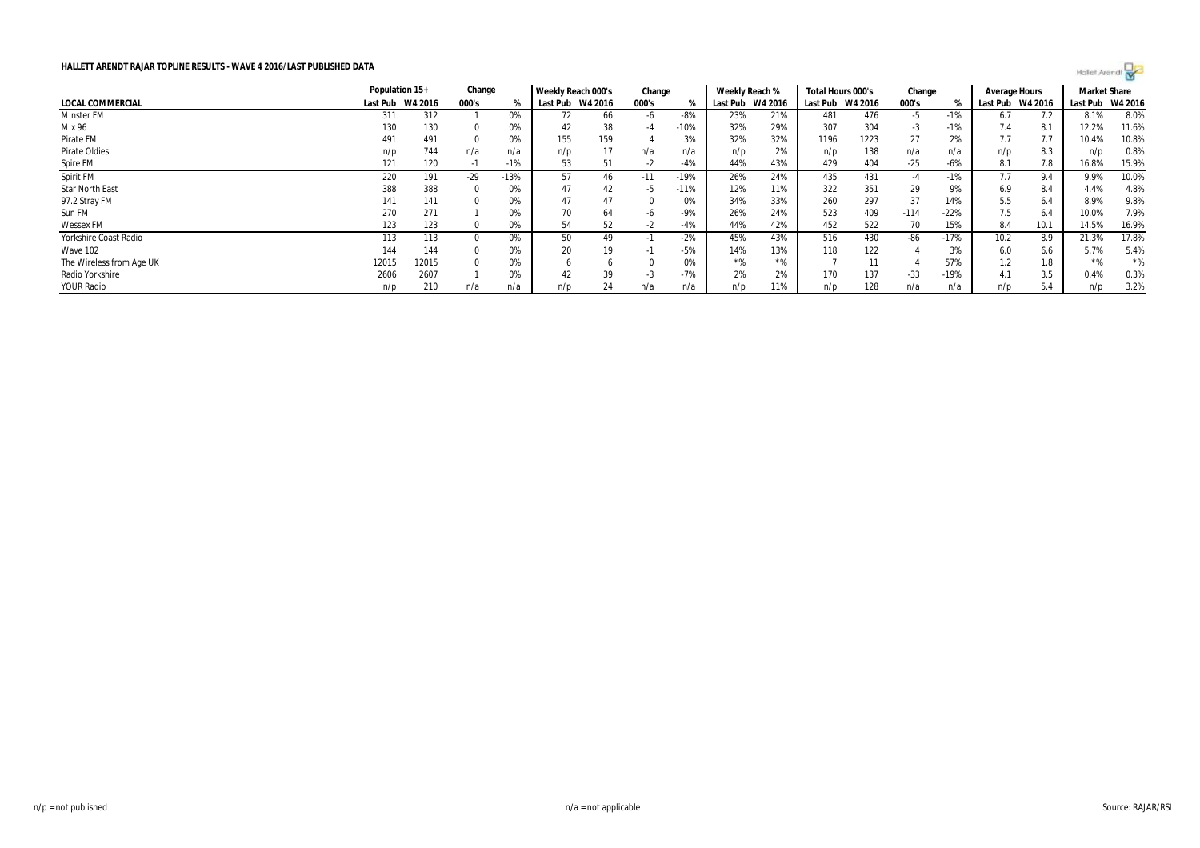|                          | Population 15+   |       | Change |        | Weekly Reach 000's |     | Change |        | Weekly Reach % |         | Total Hours 000's |      | Change |        | Average Hours    |           | <b>Market Share</b> |       |
|--------------------------|------------------|-------|--------|--------|--------------------|-----|--------|--------|----------------|---------|-------------------|------|--------|--------|------------------|-----------|---------------------|-------|
| LOCAL COMMERCIAL         | Last Pub W4 2016 |       | 000's  |        | Last Pub W4 2016   |     | 000's  |        | Last Pub       | W4 2016 | Last Pub W4 2016  |      | 000's  |        | Last Pub W4 2016 |           | Last Pub W4 2016    |       |
| Minster FM               | 311              | 312   |        | 0%     |                    | 66  | -6     | -8%    | 23%            | 21%     | 481               | 476  | -5     | $-1%$  | 6.7              | 7.2       | 8.1%                | 8.0%  |
| Mix 96                   | 130              | 130   |        | 0%     | 42                 | 38  |        | $-10%$ | 32%            | 29%     | 307               | 304  | $-3$   | $-1%$  | 7.4              | 8.1       | 12.2%               | 11.6% |
| Pirate FM                | 491              | 491   |        | 0%     | 155                | 159 |        | 3%     | 32%            | 32%     | 1196              | 1223 | 27     | 2%     | 7.7              | $\iota$ . | 10.4%               | 10.8% |
| Pirate Oldies            | n/p              | 744   | n/a    | n/a    | n/p                |     | n/a    | n/a    | n/p            | 2%      | n/p               | 138  | n/a    | n/a    | n/p              | 8.3       | n/p                 | 0.8%  |
| Spire FM                 | 121              | 120   | - 11   | -1%    | 53                 | 51  | -z     | -4%    | 44%            | 43%     | 429               | 404  | $-25$  | $-6%$  | 8.1              | 7.8       | 16.8%               | 15.9% |
| Spirit FM                | 220              | 191   | -29    | $-13%$ | 57                 | 46  | $-11$  | $-19%$ | 26%            | 24%     | 435               | 431  | -4     | $-1%$  | 7.7              | 9.4       | 9.9%                | 10.0% |
| Star North East          | 388              | 388   |        | 0%     | 47                 | 42  | -5     | $-11%$ | 12%            | 11%     | 322               | 351  | 29     | 9%     | 6.9              | 8.4       | 4.4%                | 4.8%  |
| 97.2 Stray FM            | 141              | 141   |        | 0%     | 47                 | 47  |        | 0%     | 34%            | 33%     | 260               | 297  | 37     | 14%    | 5.5              | 6.4       | 8.9%                | 9.8%  |
| Sun FM                   | 270              | 271   |        | U%     |                    | 64  |        | $-9%$  | 26%            | 24%     | 523               | 409  | $-114$ | $-22%$ | 7.5              | 6.4       | 10.0%               | 7.9%  |
| Wessex FM                | 123              | 123   |        | 0%     | 54                 | 52  |        | -4%    | 44%            | 42%     | 452               | 522  | 70     | 15%    | 8.4              | 10.1      | 14.5%               | 16.9% |
| Yorkshire Coast Radio    | 113              | 113   |        | 0%     | 50                 | 49  |        | $-2%$  | 45%            | 43%     | 516               | 430  | -86    | $-17%$ | 10.2             | 8.9       | 21.3%               | 17.8% |
| <b>Wave 102</b>          | 144              | 144   |        | U%     | 20                 | 19  | - 11   | -5%    | 14%            | 13%     | 118               | 122  |        | 3%     | 6.0              | 6.6       | 5.7%                | 5.4%  |
| The Wireless from Age UK | 12015            | 12015 |        | 0%     |                    |     |        |        | $*$ %          | $*0/$   |                   |      |        | 57%    | 1.2              | 1.8       |                     | $*$ % |
| Radio Yorkshire          | 2606             | 2607  |        |        | 42                 | 39  | - 5    | $-7%$  | 2%             | 2%      | 170               | 137  | $-33$  | $-19%$ | 4.1              | 3.5       | 0.4%                | 0.3%  |
| <b>YOUR Radio</b>        | n/p              | 210   | n/a    | n/a    | n/p                | 24  | n/a    | n/a    | n/p            | 11%     | n/p               | 128  | n/a    | n/a    | n/p              | 5.4       | n/p                 | 3.2%  |

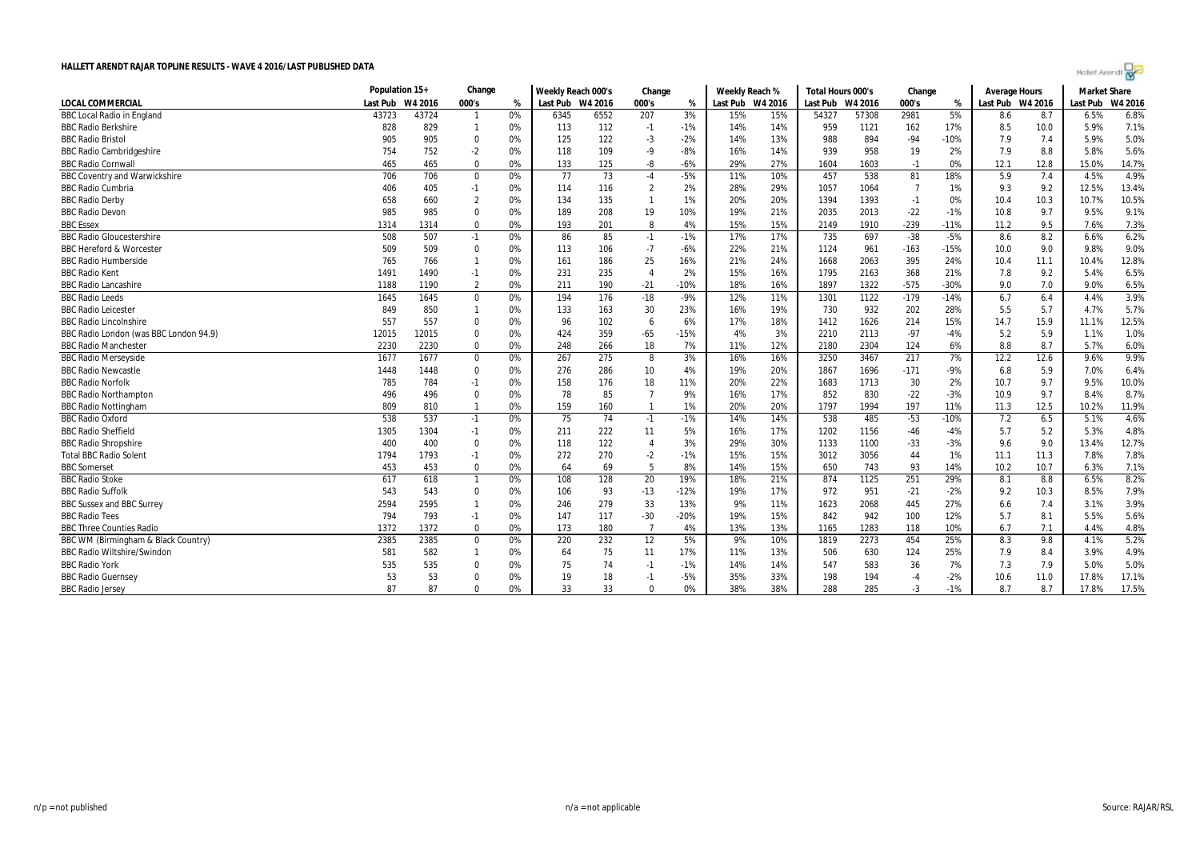| Holet Arendi |  |  |  |  |  |  |  |  |
|--------------|--|--|--|--|--|--|--|--|
|--------------|--|--|--|--|--|--|--|--|

|                                        |          | Population 15+ |                  |      | Weekly Reach 000's |      | Change         |        | Weekly Reach %   |     | Total Hours 000's |         | Change |        |                  | <b>Average Hours</b> |          | <b>Market Share</b> |
|----------------------------------------|----------|----------------|------------------|------|--------------------|------|----------------|--------|------------------|-----|-------------------|---------|--------|--------|------------------|----------------------|----------|---------------------|
| LOCAL COMMERCIAL                       | Last Pub | W4 2016        | 000's            | $\%$ | Last Pub W4 2016   |      | 000's          | %      | Last Pub W4 2016 |     | Last Pub          | W4 2016 | 000's  | %      | Last Pub W4 2016 |                      | Last Pub | W4 2016             |
| <b>BBC Local Radio in England</b>      | 43723    | 43724          | $\mathbf{1}$     | 0%   | 6345               | 6552 | 207            | 3%     | 15%              | 15% | 54327             | 57308   | 2981   | 5%     | 8.6              | 8.7                  | 6.5%     | 6.8%                |
| <b>BBC Radio Berkshire</b>             | 828      | 829            | $\mathbf{1}$     | 0%   | 113                | 112  | $-1$           | $-1%$  | 14%              | 14% | 959               | 1121    | 162    | 17%    | 8.5              | 10.0                 | 5.9%     | 7.1%                |
| <b>BBC Radio Bristol</b>               | 905      | 905            | 0                | 0%   | 125                | 122  | $-3$           | $-2%$  | 14%              | 13% | 988               | 894     | $-94$  | $-10%$ | 7.9              | 7.4                  | 5.9%     | 5.0%                |
| <b>BBC Radio Cambridgeshire</b>        | 754      | 752            | $-2$             | 0%   | 118                | 109  | -9             | $-8%$  | 16%              | 14% | 939               | 958     | 19     | 2%     | 7.9              | 8.8                  | 5.8%     | 5.6%                |
| <b>BBC Radio Cornwall</b>              | 465      | 465            | $\Omega$         | 0%   | 133                | 125  | -8             | $-6%$  | 29%              | 27% | 1604              | 1603    | $-1$   | 0%     | 12.1             | 12.8                 | 15.0%    | 14.7%               |
| <b>BBC Coventry and Warwickshire</b>   | 706      | 706            | $\boldsymbol{0}$ | 0%   | 77                 | 73   | $-4$           | $-5%$  | 11%              | 10% | 457               | 538     | 81     | 18%    | 5.9              | 7.4                  | 4.5%     | 4.9%                |
| <b>BBC Radio Cumbria</b>               | 406      | 405            | $-1$             | 0%   | 114                | 116  | $\overline{2}$ | 2%     | 28%              | 29% | 1057              | 1064    | -7     | 1%     | 9.3              | 9.2                  | 12.5%    | 13.4%               |
| <b>BBC Radio Derby</b>                 | 658      | 660            | $\overline{2}$   | 0%   | 134                | 135  |                | 1%     | 20%              | 20% | 1394              | 1393    | $-1$   | 0%     | 10.4             | 10.3                 | 10.7%    | 10.5%               |
| <b>BBC Radio Devon</b>                 | 985      | 985            | $\mathbf 0$      | 0%   | 189                | 208  | 19             | 10%    | 19%              | 21% | 2035              | 2013    | $-22$  | $-1%$  | 10.8             | 9.7                  | 9.5%     | 9.1%                |
| <b>BBC Essex</b>                       | 1314     | 1314           | $\Omega$         | 0%   | 193                | 201  | 8              | 4%     | 15%              | 15% | 2149              | 1910    | $-239$ | $-11%$ | 11.2             | 9.5                  | 7.6%     | 7.3%                |
| <b>BBC Radio Gloucestershire</b>       | 508      | 507            | $-1$             | 0%   | 86                 | 85   | $-1$           | $-1%$  | 17%              | 17% | 735               | 697     | $-38$  | $-5%$  | 8.6              | 8.2                  | 6.6%     | 6.2%                |
| <b>BBC Hereford &amp; Worcester</b>    | 509      | 509            | 0                | 0%   | 113                | 106  | $-7$           | $-6%$  | 22%              | 21% | 1124              | 961     | $-163$ | $-15%$ | 10.0             | 9.0                  | 9.8%     | 9.0%                |
| <b>BBC Radio Humberside</b>            | 765      | 766            | $\mathbf{1}$     | 0%   | 161                | 186  | 25             | 16%    | 21%              | 24% | 1668              | 2063    | 395    | 24%    | 10.4             | 11.1                 | 10.4%    | 12.8%               |
| <b>BBC Radio Kent</b>                  | 1491     | 1490           | $-1$             | 0%   | 231                | 235  | $\overline{4}$ | 2%     | 15%              | 16% | 1795              | 2163    | 368    | 21%    | 7.8              | 9.2                  | 5.4%     | 6.5%                |
| <b>BBC Radio Lancashire</b>            | 1188     | 1190           | $\overline{2}$   | 0%   | 211                | 190  | $-21$          | $-10%$ | 18%              | 16% | 1897              | 1322    | $-575$ | $-30%$ | 9.0              | 7.0                  | 9.0%     | 6.5%                |
| <b>BBC Radio Leeds</b>                 | 1645     | 1645           | $\boldsymbol{0}$ | 0%   | 194                | 176  | $-18$          | $-9%$  | 12%              | 11% | 1301              | 1122    | $-179$ | $-14%$ | 6.7              | 6.4                  | 4.4%     | 3.9%                |
| <b>BBC Radio Leicester</b>             | 849      | 850            | $\mathbf{1}$     | 0%   | 133                | 163  | 30             | 23%    | 16%              | 19% | 730               | 932     | 202    | 28%    | 5.5              | 5.7                  | 4.7%     | 5.7%                |
| <b>BBC Radio Lincolnshire</b>          | 557      | 557            | $\mathbf 0$      | 0%   | 96                 | 102  | 6              | 6%     | 17%              | 18% | 1412              | 1626    | 214    | 15%    | 14.7             | 15.9                 | 11.1%    | 12.5%               |
| BBC Radio London (was BBC London 94.9) | 12015    | 12015          | 0                | 0%   | 424                | 359  | $-65$          | $-15%$ | 4%               | 3%  | 2210              | 2113    | $-97$  | $-4%$  | 5.2              | 5.9                  | 1.1%     | 1.0%                |
| <b>BBC Radio Manchester</b>            | 2230     | 2230           | $\Omega$         | 0%   | 248                | 266  | 18             | 7%     | 11%              | 12% | 2180              | 2304    | 124    | 6%     | 8.8              | 8.7                  | 5.7%     | 6.0%                |
| <b>BBC Radio Merseyside</b>            | 1677     | 1677           | $\boldsymbol{0}$ | 0%   | 267                | 275  | 8              | 3%     | 16%              | 16% | 3250              | 3467    | 217    | 7%     | 12.2             | 12.6                 | 9.6%     | 9.9%                |
| <b>BBC Radio Newcastle</b>             | 1448     | 1448           | $\mathbf 0$      | 0%   | 276                | 286  | 10             | 4%     | 19%              | 20% | 1867              | 1696    | $-171$ | $-9%$  | 6.8              | 5.9                  | 7.0%     | 6.4%                |
| <b>BBC Radio Norfolk</b>               | 785      | 784            | $-1$             | 0%   | 158                | 176  | 18             | 11%    | 20%              | 22% | 1683              | 1713    | 30     | 2%     | 10.7             | 9.7                  | 9.5%     | 10.0%               |
| <b>BBC Radio Northampton</b>           | 496      | 496            | $\mathbf 0$      | 0%   | 78                 | 85   | $\overline{7}$ | 9%     | 16%              | 17% | 852               | 830     | $-22$  | $-3%$  | 10.9             | 9.7                  | 8.4%     | 8.7%                |
| <b>BBC Radio Nottingham</b>            | 809      | 810            | $\mathbf{1}$     | 0%   | 159                | 160  |                | 1%     | 20%              | 20% | 1797              | 1994    | 197    | 11%    | 11.3             | 12.5                 | 10.2%    | 11.9%               |
| <b>BBC Radio Oxford</b>                | 538      | 537            | $-1$             | 0%   | 75                 | 74   | $-1$           | $-1%$  | 14%              | 14% | 538               | 485     | $-53$  | $-10%$ | 7.2              | 6.5                  | 5.1%     | 4.6%                |
| <b>BBC Radio Sheffield</b>             | 1305     | 1304           | $-1$             | 0%   | 211                | 222  | 11             | 5%     | 16%              | 17% | 1202              | 1156    | $-46$  | $-4%$  | 5.7              | 5.2                  | 5.3%     | 4.8%                |
| <b>BBC Radio Shropshire</b>            | 400      | 400            | $\Omega$         | 0%   | 118                | 122  | $\overline{4}$ | 3%     | 29%              | 30% | 1133              | 1100    | $-33$  | $-3%$  | 9.6              | 9.0                  | 13.4%    | 12.7%               |
| <b>Total BBC Radio Solent</b>          | 1794     | 1793           | $-1$             | 0%   | 272                | 270  | $-2$           | $-1%$  | 15%              | 15% | 3012              | 3056    | 44     | 1%     | 11.1             | 11.3                 | 7.8%     | 7.8%                |
| <b>BBC Somerset</b>                    | 453      | 453            | $\mathbf 0$      | 0%   | 64                 | 69   | 5              | 8%     | 14%              | 15% | 650               | 743     | 93     | 14%    | 10.2             | 10.7                 | 6.3%     | 7.1%                |
| <b>BBC Radio Stoke</b>                 | 617      | 618            | $\mathbf{1}$     | 0%   | 108                | 128  | 20             | 19%    | 18%              | 21% | 874               | 1125    | 251    | 29%    | 8.1              | 8.8                  | 6.5%     | 8.2%                |
| <b>BBC Radio Suffolk</b>               | 543      | 543            | $\Omega$         | 0%   | 106                | 93   | $-13$          | $-12%$ | 19%              | 17% | 972               | 951     | $-21$  | $-2%$  | 9.2              | 10.3                 | 8.5%     | 7.9%                |
| <b>BBC Sussex and BBC Surrey</b>       | 2594     | 2595           | $\mathbf{1}$     | 0%   | 246                | 279  | 33             | 13%    | 9%               | 11% | 1623              | 2068    | 445    | 27%    | 6.6              | 7.4                  | 3.1%     | 3.9%                |
| <b>BBC Radio Tees</b>                  | 794      | 793            | $-1$             | 0%   | 147                | 117  | $-30$          | $-20%$ | 19%              | 15% | 842               | 942     | 100    | 12%    | 5.7              | 8.1                  | 5.5%     | 5.6%                |
| <b>BBC Three Counties Radio</b>        | 1372     | 1372           | 0                | 0%   | 173                | 180  | $\overline{7}$ | 4%     | 13%              | 13% | 1165              | 1283    | 118    | 10%    | 6.7              | 7.1                  | 4.4%     | 4.8%                |
| BBC WM (Birmingham & Black Country)    | 2385     | 2385           | $\boldsymbol{0}$ | 0%   | 220                | 232  | 12             | 5%     | 9%               | 10% | 1819              | 2273    | 454    | 25%    | 8.3              | 9.8                  | 4.1%     | 5.2%                |
| <b>BBC Radio Wiltshire/Swindon</b>     | 581      | 582            | $\mathbf{1}$     | 0%   | 64                 | 75   | 11             | 17%    | 11%              | 13% | 506               | 630     | 124    | 25%    | 7.9              | 8.4                  | 3.9%     | 4.9%                |
| <b>BBC Radio York</b>                  | 535      | 535            | $\Omega$         | 0%   | 75                 | 74   | $-1$           | $-1%$  | 14%              | 14% | 547               | 583     | 36     | 7%     | 7.3              | 7.9                  | 5.0%     | 5.0%                |
| <b>BBC Radio Guernsey</b>              | 53       | 53             | 0                | 0%   | 19                 | 18   | $-1$           | $-5%$  | 35%              | 33% | 198               | 194     | $-4$   | $-2%$  | 10.6             | 11.0                 | 17.8%    | 17.1%               |
| <b>BBC Radio Jersey</b>                | 87       | 87             | $\Omega$         | 0%   | 33                 | 33   | $\Omega$       | 0%     | 38%              | 38% | 288               | 285     | $-3$   | $-1%$  | 8.7              | 8.7                  | 17.8%    | 17.5%               |